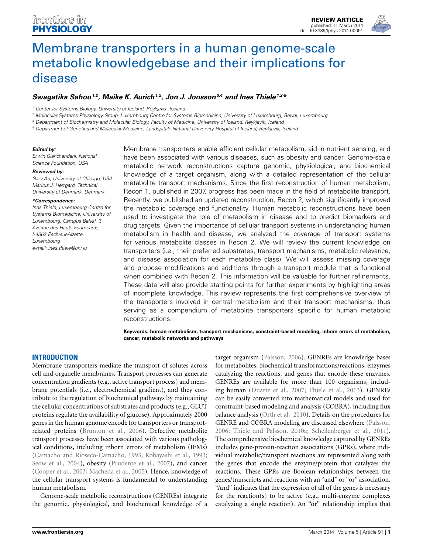

# Membrane transporters in a human genome-scale metabolic knowledgebase and their implications for disease

# Swagatika Sahoo<sup>1,2</sup>, Maike K. Aurich<sup>1,2</sup>, Jon J. Jonsson<sup>3,4</sup> and Ines Thiele<sup>1,2\*</sup>

*<sup>1</sup> Center for Systems Biology, University of Iceland, Reykjavik, Iceland*

<sup>2</sup> Molecular Systems Physiology Group, Luxembourg Centre for Systems Biomedicine, University of Luxembourg, Belval, Luxembourg

<sup>3</sup> Department of Biochemistry and Molecular Biology, Faculty of Medicine, University of Iceland, Reykjavik, Iceland

<sup>4</sup> Department of Genetics and Molecular Medicine, Landspitali, National University Hospital of Iceland, Reykjavik, Iceland

#### *Edited* by:

*Erwin Gianchandani, National Science Foundation, USA*

#### *Reviewed by:*

*Gary An, University of Chicago, USA Markus J. Herrgard, Technical University of Denmark, Denmark*

#### *\*Correspondence:*

*Ines Thiele, Luxembourg Centre for Systems Biomedicine, University of Luxembourg, Campus Belval, 7, Avenue des Hauts-Fourneaux, L-4362 Esch-sur-Alzette, Luxembourg e-mail: ines.thiele@uni.lu*

Membrane transporters enable efficient cellular metabolism, aid in nutrient sensing, and have been associated with various diseases, such as obesity and cancer. Genome-scale metabolic network reconstructions capture genomic, physiological, and biochemical knowledge of a target organism, along with a detailed representation of the cellular metabolite transport mechanisms. Since the first reconstruction of human metabolism, Recon 1, published in 2007, progress has been made in the field of metabolite transport. Recently, we published an updated reconstruction, Recon 2, which significantly improved the metabolic coverage and functionality. Human metabolic reconstructions have been used to investigate the role of metabolism in disease and to predict biomarkers and drug targets. Given the importance of cellular transport systems in understanding human metabolism in health and disease, we analyzed the coverage of transport systems for various metabolite classes in Recon 2. We will review the current knowledge on transporters (i.e., their preferred substrates, transport mechanisms, metabolic relevance, and disease association for each metabolite class). We will assess missing coverage and propose modifications and additions through a transport module that is functional when combined with Recon 2. This information will be valuable for further refinements. These data will also provide starting points for further experiments by highlighting areas of incomplete knowledge. This review represents the first comprehensive overview of the transporters involved in central metabolism and their transport mechanisms, thus serving as a compendium of metabolite transporters specific for human metabolic reconstructions.

**Keywords: human metabolism, transport mechanisms, constraint-based modeling, inborn errors of metabolism, cancer, metabolic networks and pathways**

# **INTRODUCTION**

Membrane transporters mediate the transport of solutes across cell and organelle membranes. Transport processes can generate concentration gradients (e.g., active transport process) and membrane potentials (i.e., electrochemical gradient), and they contribute to the regulation of biochemical pathways by maintaining the cellular concentrations of substrates and products (e.g., GLUT proteins regulate the availability of glucose). Approximately 2000 genes in the human genome encode for transporters or transportrelated proteins (Brunton et al., 2006). Defective metabolite transport processes have been associated with various pathological conditions, including inborn errors of metabolism (IEMs) (Camacho and Rioseco-Camacho, 1993; Kobayashi et al., 1993; Seow et al., 2004), obesity (Prudente et al., 2007), and cancer (Cooper et al., 2003; Macheda et al., 2005). Hence, knowledge of the cellular transport systems is fundamental to understanding human metabolism.

Genome-scale metabolic reconstructions (GENREs) integrate the genomic, physiological, and biochemical knowledge of a target organism (Palsson, 2006). GENREs are knowledge bases for metabolites, biochemical transformations/reactions, enzymes catalyzing the reactions, and genes that encode these enzymes. GENREs are available for more than 100 organisms, including human (Duarte et al., 2007; Thiele et al., 2013). GENREs can be easily converted into mathematical models and used for constraint-based modeling and analysis (COBRA), including flux balance analysis (Orth et al., 2010). Details on the procedures for GENRE and COBRA modeling are discussed elsewhere (Palsson, 2006; Thiele and Palsson, 2010a; Schellenberger et al., 2011). The comprehensive biochemical knowledge captured by GENREs includes gene-protein-reaction associations (GPRs), where individual metabolic/transport reactions are represented along with the genes that encode the enzyme/protein that catalyzes the reactions. These GPRs are Boolean relationships between the genes/transcripts and reactions with an "and" or "or" association. "And" indicates that the expression of all of the genes is necessary for the reaction(s) to be active (e.g., multi-enzyme complexes catalyzing a single reaction). An "or" relationship implies that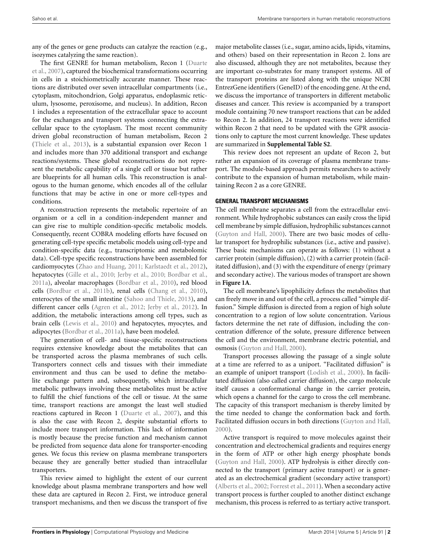any of the genes or gene products can catalyze the reaction (e.g., isozymes catalyzing the same reaction).

The first GENRE for human metabolism, Recon 1 (Duarte et al., 2007), captured the biochemical transformations occurring in cells in a stoichiometrically accurate manner. These reactions are distributed over seven intracellular compartments (i.e., cytoplasm, mitochondrion, Golgi apparatus, endoplasmic reticulum, lysosome, peroxisome, and nucleus). In addition, Recon 1 includes a representation of the extracellular space to account for the exchanges and transport systems connecting the extracellular space to the cytoplasm. The most recent community driven global reconstruction of human metabolism, Recon 2 (Thiele et al., 2013), is a substantial expansion over Recon 1 and includes more than 370 additional transport and exchange reactions/systems. These global reconstructions do not represent the metabolic capability of a single cell or tissue but rather are blueprints for all human cells. This reconstruction is analogous to the human genome, which encodes all of the cellular functions that may be active in one or more cell-types and conditions.

A reconstruction represents the metabolic repertoire of an organism or a cell in a condition-independent manner and can give rise to multiple condition-specific metabolic models. Consequently, recent COBRA modeling efforts have focused on generating cell-type specific metabolic models using cell-type and condition-specific data (e.g., transcriptomic and metabolomic data). Cell-type specific reconstructions have been assembled for cardiomyocytes (Zhao and Huang, 2011; Karlstaedt et al., 2012), hepatocytes (Gille et al., 2010; Jerby et al., 2010; Bordbar et al., 2011a), alveolar macrophages (Bordbar et al., 2010), red blood cells (Bordbar et al., 2011b), renal cells (Chang et al., 2010), enterocytes of the small intestine (Sahoo and Thiele, 2013), and different cancer cells (Agren et al., 2012; Jerby et al., 2012). In addition, the metabolic interactions among cell types, such as brain cells (Lewis et al., 2010) and hepatocytes, myocytes, and adipocytes (Bordbar et al., 2011a), have been modeled.

The generation of cell- and tissue-specific reconstructions requires extensive knowledge about the metabolites that can be transported across the plasma membranes of such cells. Transporters connect cells and tissues with their immediate environment and thus can be used to define the metabolite exchange pattern and, subsequently, which intracellular metabolic pathways involving these metabolites must be active to fulfill the chief functions of the cell or tissue. At the same time, transport reactions are amongst the least well studied reactions captured in Recon 1 (Duarte et al., 2007), and this is also the case with Recon 2, despite substantial efforts to include more transport information. This lack of information is mostly because the precise function and mechanism cannot be predicted from sequence data alone for transporter-encoding genes. We focus this review on plasma membrane transporters because they are generally better studied than intracellular transporters.

This review aimed to highlight the extent of our current knowledge about plasma membrane transporters and how well these data are captured in Recon 2. First, we introduce general transport mechanisms, and then we discuss the transport of five

major metabolite classes (i.e., sugar, amino acids, lipids, vitamins, and others) based on their representation in Recon 2. Ions are also discussed, although they are not metabolites, because they are important co-substrates for many transport systems. All of the transport proteins are listed along with the unique NCBI EntrezGene identifiers (GeneID) of the encoding gene. At the end, we discuss the importance of transporters in different metabolic diseases and cancer. This review is accompanied by a transport module containing 70 new transport reactions that can be added to Recon 2. In addition, 24 transport reactions were identified within Recon 2 that need to be updated with the GPR associations only to capture the most current knowledge. These updates are summarized in **Supplemental Table S2**.

This review does not represent an update of Recon 2, but rather an expansion of its coverage of plasma membrane transport. The module-based approach permits researchers to actively contribute to the expansion of human metabolism, while maintaining Recon 2 as a core GENRE.

#### **GENERAL TRANSPORT MECHANISMS**

The cell membrane separates a cell from the extracellular environment. While hydrophobic substances can easily cross the lipid cell membrane by simple diffusion, hydrophilic substances cannot (Guyton and Hall, 2000). There are two basic modes of cellular transport for hydrophilic substances (i.e., active and passive). These basic mechanisms can operate as follows: (1) without a carrier protein (simple diffusion), (2) with a carrier protein (facilitated diffusion), and (3) with the expenditure of energy (primary and secondary active). The various modes of transport are shown in **Figure 1A**.

The cell membrane's lipophilicity defines the metabolites that can freely move in and out of the cell, a process called "simple diffusion." Simple diffusion is directed from a region of high solute concentration to a region of low solute concentration. Various factors determine the net rate of diffusion, including the concentration difference of the solute, pressure difference between the cell and the environment, membrane electric potential, and osmosis (Guyton and Hall, 2000).

Transport processes allowing the passage of a single solute at a time are referred to as a uniport. "Facilitated diffusion" is an example of uniport transport (Lodish et al., 2000). In facilitated diffusion (also called carrier diffusion), the cargo molecule itself causes a conformational change in the carrier protein, which opens a channel for the cargo to cross the cell membrane. The capacity of this transport mechanism is thereby limited by the time needed to change the conformation back and forth. Facilitated diffusion occurs in both directions (Guyton and Hall, 2000).

Active transport is required to move molecules against their concentration and electrochemical gradients and requires energy in the form of ATP or other high energy phosphate bonds (Guyton and Hall, 2000). ATP hydrolysis is either directly connected to the transport (primary active transport) or is generated as an electrochemical gradient (secondary active transport) (Alberts et al., 2002; Forrest et al., 2011). When a secondary active transport process is further coupled to another distinct exchange mechanism, this process is referred to as tertiary active transport.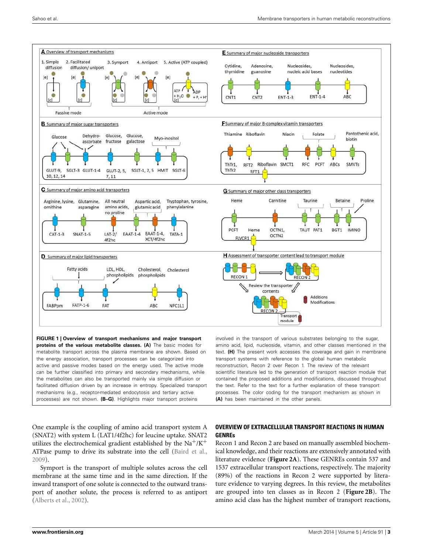

the energy association, transport processes can be categorized into active and passive modes based on the energy used. The active mode can be further classified into primary and secondary mechanisms, while the metabolites can also be transported mainly via simple diffusion or facilitated diffusion driven by an increase in entropy. Specialized transport mechanisms (e.g., receptor-mediated endocytosis and tertiary active processes) are not shown. **(B–G)**. Highlights major transport proteins

transport systems with reference to the global human metabolic reconstruction, Recon 2 over Recon 1. The review of the relevant scientific literature led to the generation of transport reaction module that contained the proposed additions and modifications, discussed throughout the text. Refer to the text for a further explanation of these transport processes. The color coding for the transport mechanism as shown in **(A)** has been maintained in the other panels.

One example is the coupling of amino acid transport system A (SNAT2) with system L (LAT1/4f2hc) for leucine uptake. SNAT2 utilizes the electrochemical gradient established by the  $\text{Na}^+/ \text{K}^+$ ATPase pump to drive its substrate into the cell (Baird et al., 2009).

Symport is the transport of multiple solutes across the cell membrane at the same time and in the same direction. If the inward transport of one solute is connected to the outward transport of another solute, the process is referred to as antiport (Alberts et al., 2002).

## **OVERVIEW OF EXTRACELLULAR TRANSPORT REACTIONS IN HUMAN GENREs**

Recon 1 and Recon 2 are based on manually assembled biochemical knowledge, and their reactions are extensively annotated with literature evidence (**Figure 2A**). These GENREs contain 537 and 1537 extracellular transport reactions, respectively. The majority (89%) of the reactions in Recon 2 were supported by literature evidence to varying degrees. In this review, the metabolites are grouped into ten classes as in Recon 2 (**Figure 2B**). The amino acid class has the highest number of transport reactions,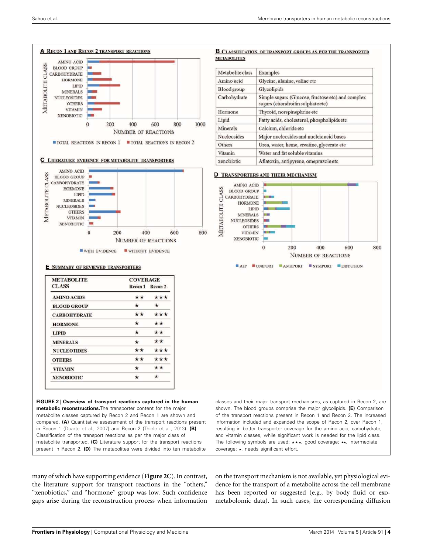

**FIGURE 2 | Overview of transport reactions captured in the human metabolic reconstructions.**The transporter content for the major metabolite classes captured by Recon 2 and Recon 1 are shown and compared. **(A)** Quantitative assessment of the transport reactions present in Recon 1 (Duarte et al., 2007) and Recon 2 (Thiele et al., 2013). **(B)** Classification of the transport reactions as per the major class of metabolite transported. **(C)** Literature support for the transport reactions present in Recon 2. **(D)** The metabolites were divided into ten metabolite classes and their major transport mechanisms, as captured in Recon 2, are shown. The blood groups comprise the major glycolipids. **(E)** Comparison of the transport reactions present in Recon 1 and Recon 2. The increased information included and expanded the scope of Recon 2, over Recon 1, resulting in better transporter coverage for the amino acid, carbohydrate, and vitamin classes, while significant work is needed for the lipid class. The following symbols are used: \*\*\*, good coverage; \*\*, intermediate coverage; ★, needs significant effort.

many of which have supporting evidence (**Figure 2C**). In contrast, the literature support for transport reactions in the "others," "xenobiotics," and "hormone" group was low. Such confidence gaps arise during the reconstruction process when information

on the transport mechanism is not available, yet physiological evidence for the transport of a metabolite across the cell membrane has been reported or suggested (e.g., by body fluid or exometabolomic data). In such cases, the corresponding diffusion

#### **B CLASSIFICATION OF TRANSPORT GROUPS AS PER THE TRANSPORTED METABOLITES**

| Metabolite class | Examples                                                                               |
|------------------|----------------------------------------------------------------------------------------|
| Amino acid       | Glycine, alanine, valine etc                                                           |
| Blood group      | Glycolipids                                                                            |
| Carbohydrate     | Simple sugars (Glucose, fructose etc) and complex<br>sugars (chondroitin sulphate etc) |
| Hormone          | Thyroid, norepinephrine etc                                                            |
| Lipid            | Fatty acids, cholesterol, phospholipids etc                                            |
| Minerals         | Calcium, chloride etc                                                                  |
| Nucleosides      | Major nucleosides and nucleic acid bases                                               |
| Others           | Urea, water, heme, creatine, glycerate etc                                             |
| Vitamin          | Water and fat soluble vitamins                                                         |
| xenobiotic       | Aflatoxin, antipyrene, omeprazole etc                                                  |

#### **D TRANSPORTERS AND THEIR MECHANISM**

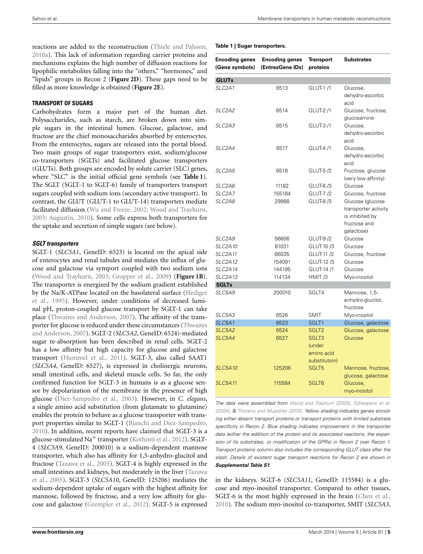reactions are added to the reconstruction (Thiele and Palsson, 2010a). This lack of information regarding carrier proteins and mechanisms explains the high number of diffusion reactions for lipophilic metabolites falling into the "others," "hormones," and "lipids" groups in Recon 2 (**Figure 2D**). These gaps need to be filled as more knowledge is obtained (**Figure 2E**).

#### **TRANSPORT OF SUGARS**

Carbohydrates form a major part of the human diet. Polysaccharides, such as starch, are broken down into simple sugars in the intestinal lumen. Glucose, galactose, and fructose are the chief monosaccharides absorbed by enterocytes. From the enterocytes, sugars are released into the portal blood. Two main groups of sugar transporters exist, sodium/glucose co-transporters (SGLTs) and facilitated glucose transporters (GLUTs). Both groups are encoded by solute carrier (SLC) genes, where "SLC" is the initial official gene symbols (see **Table 1**). The SGLT (SGLT-1 to SGLT-6) family of transporters transport sugars coupled with sodium ions (secondary active transport). In contrast, the GLUT (GLUT-1 to GLUT-14) transporters mediate facilitated diffusion (Wu and Freeze, 2002; Wood and Trayhurn, 2003; Augustin, 2010). Some cells express both transporters for the uptake and secretion of simple sugars (see below).

#### **SGLT transporters**

SGLT-1 (*SLC5A1*, GeneID: 6523) is located on the apical side of enterocytes and renal tubules and mediates the influx of glucose and galactose via symport coupled with two sodium ions (Wood and Trayhurn, 2003; Gropper et al., 2009) (**Figure 1B**). The transporter is energized by the sodium gradient established by the Na/K-ATPase located on the basolateral surface (Hediger et al., 1995). However, under conditions of decreased luminal pH, proton-coupled glucose transport by SGLT-1 can take place (Thwaites and Anderson, 2007). The affinity of the transporter for glucose is reduced under these circumstances (Thwaites and Anderson, 2007). SGLT-2 (*SLC5A2*, GeneID: 6524)-mediated sugar re-absorption has been described in renal cells. SGLT-2 has a low affinity but high capacity for glucose and galactose transport (Hummel et al., 2011). SGLT-3, also called SAAT1 (*SLC5A4*, GeneID: 6527), is expressed in cholinergic neurons, small intestinal cells, and skeletal muscle cells. So far, the only confirmed function for SGLT-3 in humans is as a glucose sensor by depolarization of the membrane in the presence of high glucose (Diez-Sampedro et al., 2003). However, in *C. elegans*, a single amino acid substitution (from glutamate to glutamine) enables the protein to behave as a glucose transporter with transport properties similar to SGLT-1 (Bianchi and Diez-Sampedro, 2010). In addition, recent reports have claimed that SGLT-3 is a glucose-stimulated Na<sup>+</sup> transporter (Kothinti et al., 2012). SGLT-4 (*SLC5A9*, GeneID: 200010) is a sodium-dependent mannose transporter, which also has affinity for 1,5-anhydro-glucitol and fructose (Tazawa et al., 2005). SGLT-4 is highly expressed in the small intestines and kidneys, but moderately in the liver (Tazawa et al., 2005). SGLT-5 (*SLC5A10*, GeneID: 125206) mediates the sodium-dependent uptake of sugars with the highest affinity for mannose, followed by fructose, and a very low affinity for glucose and galactose (Grempler et al., 2012). SGLT-5 is expressed

| <b>Encoding genes</b><br>(Gene symbols) | <b>Encoding genes</b><br>(EntrezGene IDs) | Transport<br>proteins                          | <b>Substrates</b>                                                                         |
|-----------------------------------------|-------------------------------------------|------------------------------------------------|-------------------------------------------------------------------------------------------|
| <b>GLUTs</b>                            |                                           |                                                |                                                                                           |
| SLC <sub>2A1</sub>                      | 6513                                      | GLUT-1/1                                       | Glucose,<br>dehydro-ascorbic<br>acid                                                      |
| SLC2A2                                  | 6514                                      | GLUT-2/1                                       | Glucose, fructose,<br>glucosamine                                                         |
| SLC2A3                                  | 6515                                      | GLUT-3/1                                       | Glucose,<br>dehydro-ascorbic<br>acid                                                      |
| <i>SLC2A4</i>                           | 6517                                      | GLUT-4/1                                       | Glucose,<br>dehydro-ascorbic<br>acid                                                      |
| <i>SLC2A5</i>                           | 6518                                      | GLUT-5 /2                                      | Fructose, glucose<br>(very low affinity)                                                  |
| SLC2A6                                  | 11182                                     | GLUT-6/3                                       | Glucose                                                                                   |
| SLC <sub>2A7</sub>                      | 155184                                    | GLUT-7 /2                                      | Glucose, fructose                                                                         |
| SLC <sub>2</sub> A8                     | 29988                                     | GLUT-8/3                                       | Glucose (glucose<br>transporter activity<br>is inhibited by<br>fructose and<br>galactose) |
| SLC2A9                                  | 56606                                     | <b>GLUT-9/2</b>                                | Glucose                                                                                   |
| <b>SLC2A10</b>                          | 81031                                     | GLUT-10 /3                                     | Glucose                                                                                   |
| <b>SLC2A11</b>                          | 66035                                     | GLUT-11 /2                                     | Glucose, fructose                                                                         |
| <b>SLC2A12</b>                          | 154091                                    | GLUT-12 /3                                     | Glucose                                                                                   |
| <b>SLC2A14</b>                          | 144195                                    | GLUT-14/1                                      | Glucose                                                                                   |
| <b>SLC2A13</b>                          | 114134                                    | HMIT/3                                         | Myo-inositol                                                                              |
| <b>SGLTs</b>                            |                                           |                                                |                                                                                           |
| SLC5A9                                  | 200010                                    | SGLT4                                          | Mannose, 1,5-<br>anhydro-glucitol,<br>fructose                                            |
| SLC5A3                                  | 6526                                      | <b>SMIT</b>                                    | Myo-inositol                                                                              |
| SLC5A1                                  | 6523                                      | SGLT1                                          | Glucose, galactose                                                                        |
| SLC5A2                                  | 6524                                      | SGLT <sub>2</sub>                              | Glucose, galactose                                                                        |
| SLC5A4                                  | 6527                                      | SGLT3<br>(under<br>amino acid<br>substitution) | Glucose                                                                                   |
| <b>SLC5A10</b>                          | 125206                                    | SGLT5                                          | Mannose, fructose,<br>glucose, galactose                                                  |
| <b>SLC5A11</b>                          | 115584                                    | SGLT6                                          | Glucose,<br>myo-inositol                                                                  |

*The data were assembled from Wood and Trayhurn (2003), Scheepers et al. (2004), & Thorens and Mueckler (2010). Yellow shading indicates genes encod*ing either absent transport proteins or transport proteins with limited substrate *specificity in Recon 2. Blue shading indicates improvement in the transporter* data (either the addition of the protein and its associated reactions, the expansion of its substrates, or modification of the GPRs) in Recon 2 over Recon 1. Transport proteins column also includes the corresponding GLUT class after the slash. Details of existent sugar transport reactions for Recon 2 are shown in *Supplemental Table S1.*

in the kidneys. SGLT-6 (*SLC5A11*, GeneID: 115584) is a glucose and myo-inositol transporter. Compared to other tissues, SGLT-6 is the most highly expressed in the brain (Chen et al., 2010). The sodium myo-inositol co-transporter, SMIT (*SLC5A3*,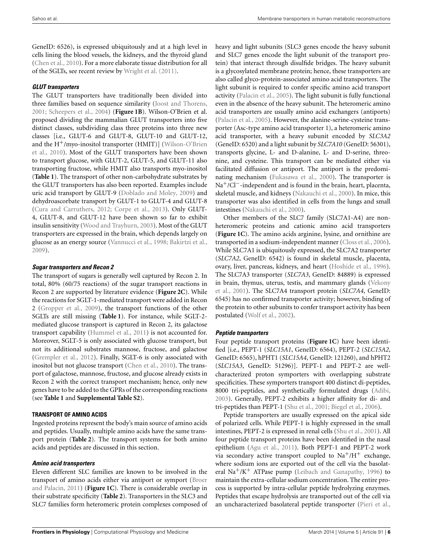GeneID: 6526), is expressed ubiquitously and at a high level in cells lining the blood vessels, the kidneys, and the thyroid gland (Chen et al., 2010). For a more elaborate tissue distribution for all of the SGLTs, see recent review by Wright et al. (2011).

## **GLUT transporters**

The GLUT transporters have traditionally been divided into three families based on sequence similarity (Joost and Thorens, 2001; Scheepers et al., 2004) (**Figure 1B**). Wilson-O'Brien et al. proposed dividing the mammalian GLUT transporters into five distinct classes, subdividing class three proteins into three new classes [i.e., GLUT-6 and GLUT-8, GLUT-10 and GLUT-12, and the  $H^+$ /myo-inositol transporter (HMIT)] (Wilson-O'Brien et al., 2010). Most of the GLUT transporters have been shown to transport glucose, with GLUT-2, GLUT-5, and GLUT-11 also transporting fructose, while HMIT also transports myo-inositol (**Table 1**). The transport of other non-carbohydrate substrates by the GLUT transporters has also been reported. Examples include uric acid transport by GLUT-9 (Doblado and Moley, 2009) and dehydroascorbate transport by GLUT-1 to GLUT-4 and GLUT-8 (Cura and Carruthers, 2012; Corpe et al., 2013). Only GLUT-4, GLUT-8, and GLUT-12 have been shown so far to exhibit insulin sensitivity (Wood and Trayhurn, 2003). Most of the GLUT transporters are expressed in the brain, which depends largely on glucose as an energy source (Vannucci et al., 1998; Bakirtzi et al., 2009).

## **Sugar transporters and Recon 2**

The transport of sugars is generally well captured by Recon 2. In total, 80% (60/75 reactions) of the sugar transport reactions in Recon 2 are supported by literature evidence (**Figure 2C**). While the reactions for SGLT-1-mediated transport were added in Recon 2 (Gropper et al., 2009), the transport functions of the other SGLTs are still missing (**Table 1**). For instance, while SGLT-2 mediated glucose transport is captured in Recon 2, its galactose transport capability (Hummel et al., 2011) is not accounted for. Moreover, SGLT-5 is only associated with glucose transport, but not its additional substrates mannose, fructose, and galactose (Grempler et al., 2012). Finally, SGLT-6 is only associated with inositol but not glucose transport (Chen et al., 2010). The transport of galactose, mannose, fructose, and glucose already exists in Recon 2 with the correct transport mechanism; hence, only new genes have to be added to the GPRs of the corresponding reactions (see **Table 1** and **Supplemental Table S2**).

## **TRANSPORT OF AMINO ACIDS**

Ingested proteins represent the body's main source of amino acids and peptides. Usually, multiple amino acids have the same transport protein (**Table 2**). The transport systems for both amino acids and peptides are discussed in this section.

## **Amino acid transporters**

Eleven different SLC families are known to be involved in the transport of amino acids either via antiport or symport (Broer and Palacin, 2011) (**Figure 1C**). There is considerable overlap in their substrate specificity (**Table 2**). Transporters in the SLC3 and SLC7 families form heteromeric protein complexes composed of heavy and light subunits (SLC3 genes encode the heavy subunit and SLC7 genes encode the light subunit of the transport protein) that interact through disulfide bridges. The heavy subunit is a glycosylated membrane protein; hence, these transporters are also called glyco-protein-associated amino acid transporters. The light subunit is required to confer specific amino acid transport activity (Palacin et al., 2005). The light subunit is fully functional even in the absence of the heavy subunit. The heteromeric amino acid transporters are usually amino acid exchangers (antiports) (Palacin et al., 2005). However, the alanine-serine-cysteine transporter (Asc-type amino acid transporter 1), a heteromeric amino acid transporter, with a heavy subunit encoded by *SLC3A2* (GeneID: 6520) and a light subunit by *SLC7A10* (GeneID: 56301), transports glycine, L- and D-alanine, L- and D-serine, threonine, and cysteine. This transport can be mediated either via facilitated diffusion or antiport. The antiport is the predominating mechanism (Fukasawa et al., 2000). The transporter is Na+/Cl−-independent and is found in the brain, heart, placenta, skeletal muscle, and kidneys (Nakauchi et al., 2000). In mice, this transporter was also identified in cells from the lungs and small intestines (Nakauchi et al., 2000).

Other members of the SLC7 family (SLC7A1-A4) are nonheteromeric proteins and cationic amino acid transporters (**Figure 1C**). The amino acids arginine, lysine, and ornithine are transported in a sodium-independent manner (Closs et al., 2006). While SLC7A1 is ubiquitously expressed, the SLC7A2 transporter (*SLC7A2*, GeneID: 6542) is found in skeletal muscle, placenta, ovary, liver, pancreas, kidneys, and heart (Hoshide et al., 1996). The SLC7A3 transporter (*SLC7A3*, GeneID: 84889) is expressed in brain, thymus, uterus, testis, and mammary glands (Vekony et al., 2001). The SLC7A4 transport protein (*SLC7A4*, GeneID: 6545) has no confirmed transporter activity; however, binding of the protein to other subunits to confer transport activity has been postulated (Wolf et al., 2002).

## **Peptide transporters**

Four peptide transport proteins (**Figure 1C**) have been identified [i.e., PEPT-1 (*SLC15A1*, GeneID: 6564), PEPT-2 (*SLC15A2*, GeneID: 6565), hPHT1 (*SLC15A4*, GeneID: 121260), and hPHT2 (*SLC15A3*, GeneID: 51296)]. PEPT-1 and PEPT-2 are wellcharacterized proton symporters with overlapping substrate specificities. These symporters transport 400 distinct di-peptides, 8000 tri-peptides, and synthetically formulated drugs (Adibi, 2003). Generally, PEPT-2 exhibits a higher affinity for di- and tri-peptides than PEPT-1 (Shu et al., 2001; Biegel et al., 2006).

Peptide transporters are usually expressed on the apical side of polarized cells. While PEPT-1 is highly expressed in the small intestines, PEPT-2 is expressed in renal cells (Shu et al., 2001). All four peptide transport proteins have been identified in the nasal epithelium (Agu et al., 2011). Both PEPT-1 and PEPT-2 work via secondary active transport coupled to  $\mathrm{Na^+/H^+}$  exchange, where sodium ions are exported out of the cell via the basolateral  $\text{Na}^+/K^+$  ATPase pump (Leibach and Ganapathy, 1996) to maintain the extra-cellular sodium concentration. The entire process is supported by intra-cellular peptide hydrolyzing enzymes. Peptides that escape hydrolysis are transported out of the cell via an uncharacterized basolateral peptide transporter (Pieri et al.,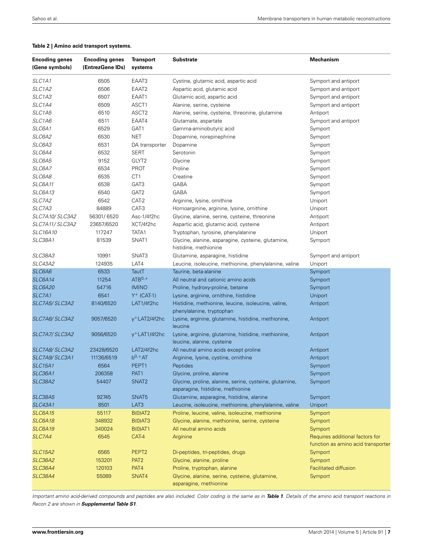#### **Table 2 | Amino acid transport systems.**

| <b>Encoding genes</b><br>(Gene symbols) | <b>Encoding genes</b><br>(EntrezGene IDs) | <b>Transport</b><br>systems | <b>Substrate</b>                                                                             | <b>Mechanism</b>                   |
|-----------------------------------------|-------------------------------------------|-----------------------------|----------------------------------------------------------------------------------------------|------------------------------------|
| SLC1A1                                  | 6505                                      | EAAT3                       | Cystine, glutamic acid, aspartic acid                                                        | Symport and antiport               |
| SLC1A2                                  | 6506                                      | EAAT <sub>2</sub>           | Aspartic acid, glutamic acid                                                                 | Symport and antiport               |
| SLC1A3                                  | 6507                                      | EAAT1                       | Glutamic acid, aspartic acid                                                                 | Symport and antiport               |
| SLC1A4                                  | 6509                                      | ASCT1                       | Alanine, serine, cysteine                                                                    | Symport and antiport               |
| SLC1A5                                  | 6510                                      | ASCT2                       | Alanine, serine, cysteine, threonine, glutamine                                              | Antiport                           |
| <i>SLC1A6</i>                           | 6511                                      | EAAT4                       | Glutamate, aspartate                                                                         | Symport and antiport               |
| SLC6A1                                  | 6529                                      | GAT1                        | Gamma-aminobutyric acid                                                                      | Symport                            |
| <i>SLC6A2</i>                           | 6530                                      | NET                         | Dopamine, norepinephrine                                                                     | Symport                            |
| <i>SLC6A3</i>                           | 6531                                      | DA transporter              | Dopamine                                                                                     | Symport                            |
| <i>SLC6A4</i>                           | 6532                                      | <b>SERT</b>                 | Serotonin                                                                                    | Symport                            |
| SLC6A5                                  | 9152                                      | GLYT <sub>2</sub>           | Glycine                                                                                      | Symport                            |
| <i>SLC6A7</i>                           | 6534                                      | <b>PROT</b>                 | Proline                                                                                      | Symport                            |
| SLC6A8                                  | 6535                                      | CT <sub>1</sub>             | Creatine                                                                                     | Symport                            |
| SLC6A11                                 | 6538                                      | GAT3                        | GABA                                                                                         | Symport                            |
| SLC6A13                                 | 6540                                      | GAT <sub>2</sub>            | <b>GABA</b>                                                                                  | Symport                            |
| SLC7A2                                  | 6542                                      | CAT-2                       | Arginine, lysine, ornithine                                                                  | Uniport                            |
| SLC7A3                                  | 84889                                     | CAT-3                       | Homoarginine, arginine, lysine, ornithine                                                    |                                    |
|                                         |                                           |                             |                                                                                              | Uniport                            |
| SLC7A10/SLC3A2                          | 56301/6520                                | Asc-1/4f2hc                 | Glycine, alanine, serine, cysteine, threonine                                                | Antiport                           |
| SLC7A11/SLC3A2                          | 23657/6520                                | XCT/4f2hc                   | Aspartic acid, glutamic acid, cysteine                                                       | Antiport                           |
| SLC16A10                                | 117247                                    | TATA1                       | Tryptophan, tyrosine, phenylalanine                                                          | Uniport                            |
| <b>SLC38A1</b>                          | 81539                                     | SNAT1                       | Glycine, alanine, asparagine, cysteine, glutamine,<br>histidine, methionine                  | Symport                            |
| SLC38A3                                 | 10991                                     | SNAT3                       | Glutamine, asparagine, histidine                                                             | Symport and antiport               |
| SLC43A2                                 | 124935                                    | LAT4                        | Leucine, isoleucine, methionine, phenylalanine, valine                                       | Uniport                            |
| SLC6A6                                  | 6533                                      | TautT                       | Taurine, beta-alanine                                                                        | Symport                            |
| <b>SLC6A14</b>                          | 11254                                     | $ATB0,+$                    | All neutral and cationic amino acids                                                         | Symport                            |
| <b>SLC6A20</b>                          | 54716                                     | <b>IMINO</b>                | Proline, hydroxy-proline, betaine                                                            | Symport                            |
| SLC7A1                                  | 6541                                      | $Y^+$ (CAT-1)               | Lysine, arginine, ornithine, histidine                                                       | Uniport                            |
| SLC7A5/SLC3A2                           | 8140/6520                                 | LAT1/4f2hc                  | Histidine, methionine, leucine, isoleucine, valine,<br>phenylalanine, tryptophan             | Antiport                           |
| SLC7A6/SLC3A2                           | 9057/6520                                 | y <sup>+</sup> LAT2/4f2hc   | Lysine, arginine, glutamine, histidine, methionine,<br>leucine                               | Antiport                           |
| SLC7A7/SLC3A2                           | 9056/6520                                 | $y^+$ LAT1/4f2hc            | Lysine, arginine, glutamine, histidine, methionine,<br>leucine, alanine, cysteine            | Antiport                           |
| SLC7A8/SLC3A2                           | 23428/6520                                | LAT2/4f2hc                  | All neutral amino acids except proline                                                       | Antiport                           |
| SLC7A9/SLC3A1                           | 11136/6519                                | $b^{0,+}AT$                 | Arginine, lysine, cystine, ornithine                                                         | Antiport                           |
| <b>SLC15A1</b>                          | 6564                                      | PEPT1                       | <b>Peptides</b>                                                                              | Symport                            |
| <b>SLC36A1</b>                          | 206358                                    | PAT1                        | Glycine, proline, alanine                                                                    | Symport                            |
| <b>SLC38A2</b>                          | 54407                                     | SNAT <sub>2</sub>           | Glycine, proline, alanine, serine, cysteine, glutamine,<br>asparagine, histidine, methionine | Symport                            |
| <b>SLC38A5</b>                          | 92745                                     | SNAT5                       | Glutamine, asparagine, histidine, alanine                                                    | Symport                            |
| <b>SLC43A1</b>                          | 8501                                      | LAT3                        | Leucine, isoleucine, methionine, phenylalanine, valine                                       | Uniport                            |
| <b>SLC6A15</b>                          | 55117                                     | B(0)AT2                     | Proline, leucine, valine, isoleucine, methionine                                             | Symport                            |
| <b>SLC6A18</b>                          | 348932                                    | B(0)AT3                     | Glycine, alanine, methionine, serine, cysteine                                               | Symport                            |
| <b>SLC6A19</b>                          | 340024                                    | B(0)AT1                     | All neutral amino acids                                                                      | Symport                            |
| SLC7A4                                  | 6545                                      | CAT-4                       | Arginine                                                                                     | Requires additional factors for    |
|                                         |                                           |                             |                                                                                              | function as amino acid transporter |
| <b>SLC15A2</b>                          | 6565                                      | PEPT <sub>2</sub>           | Di-peptides, tri-peptides, drugs                                                             | Symport                            |
| <b>SLC36A2</b>                          | 153201                                    | PAT <sub>2</sub>            | Glycine, alanine, proline                                                                    | Symport                            |
| <b>SLC36A4</b>                          | 120103                                    | PAT4                        | Proline, tryptophan, alanine                                                                 | Facilitated diffusion              |
| <b>SLC38A4</b>                          | 55089                                     | SNAT4                       | Glycine, alanine, serine, cysteine, glutamine,<br>asparagine, methionine                     | Symport                            |

Important amino acid-derived compounds and peptides are also included. Color coding is the same as in Table 1. Details of the amino acid transport reactions in *Recon 2 are shown in Supplemental Table S1.*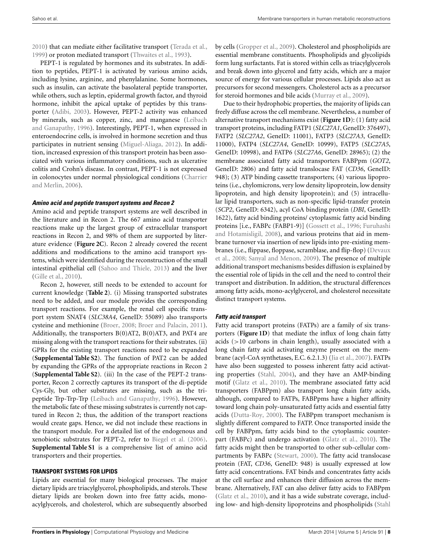2010) that can mediate either facilitative transport (Terada et al., 1999) or proton mediated transport (Thwaites et al., 1993).

PEPT-1 is regulated by hormones and its substrates. In addition to peptides, PEPT-1 is activated by various amino acids, including lysine, arginine, and phenylalanine. Some hormones, such as insulin, can activate the basolateral peptide transporter, while others, such as leptin, epidermal growth factor, and thyroid hormone, inhibit the apical uptake of peptides by this transporter (Adibi, 2003). However, PEPT-2 activity was enhanced by minerals, such as copper, zinc, and manganese (Leibach and Ganapathy, 1996). Interestingly, PEPT-1, when expressed in enteroendocrine cells, is involved in hormone secretion and thus participates in nutrient sensing (Miguel-Aliaga, 2012). In addition, increased expression of this transport protein has been associated with various inflammatory conditions, such as ulcerative colitis and Crohn's disease. In contrast, PEPT-1 is not expressed in colonocytes under normal physiological conditions (Charrier and Merlin, 2006).

## **Amino acid and peptide transport systems and Recon 2**

Amino acid and peptide transport systems are well described in the literature and in Recon 2. The 667 amino acid transporter reactions make up the largest group of extracellular transport reactions in Recon 2, and 98% of them are supported by literature evidence (**Figure 2C**). Recon 2 already covered the recent additions and modifications to the amino acid transport systems, which were identified during the reconstruction of the small intestinal epithelial cell (Sahoo and Thiele, 2013) and the liver (Gille et al., 2010).

Recon 2, however, still needs to be extended to account for current knowledge (**Table 2**). (i) Missing transported substrates need to be added, and our module provides the corresponding transport reactions. For example, the renal cell specific transport system SNAT4 (*SLC38A4*, GeneID: 55089) also transports cysteine and methionine (Broer, 2008; Broer and Palacin, 2011). Additionally, the transporters B(0)AT2, B(0)AT3, and PAT4 are missing along with the transport reactions for their substrates. (ii) GPRs for the existing transport reactions need to be expanded (**Supplemental Table S2**). The function of PAT2 can be added by expanding the GPRs of the appropriate reactions in Recon 2 (**Supplemental Table S2**). (iii) In the case of the PEPT-2 transporter, Recon 2 correctly captures its transport of the di-peptide Cys-Gly, but other substrates are missing, such as the tripeptide Trp-Trp-Trp (Leibach and Ganapathy, 1996). However, the metabolic fate of these missing substrates is currently not captured in Recon 2; thus, the addition of the transport reactions would create gaps. Hence, we did not include these reactions in the transport module. For a detailed list of the endogenous and xenobiotic substrates for PEPT-2, refer to Biegel et al. (2006). **Supplemental Table S1** is a comprehensive list of amino acid transporters and their properties.

# **TRANSPORT SYSTEMS FOR LIPIDS**

Lipids are essential for many biological processes. The major dietary lipids are triacylglycerol, phospholipids, and sterols. These dietary lipids are broken down into free fatty acids, monoacylglycerols, and cholesterol, which are subsequently absorbed by cells (Gropper et al., 2009). Cholesterol and phospholipids are essential membrane constituents. Phospholipids and glycolipids form lung surfactants. Fat is stored within cells as triacylglycerols and break down into glycerol and fatty acids, which are a major source of energy for various cellular processes. Lipids also act as precursors for second messengers. Cholesterol acts as a precursor for steroid hormones and bile acids (Murray et al., 2009).

Due to their hydrophobic properties, the majority of lipids can freely diffuse across the cell membrane. Nevertheless, a number of alternative transport mechanisms exist (**Figure 1D**): (1) fatty acid transport proteins, including FATP1 (*SLC27A1*, GeneID: 376497), FATP2 (*SLC27A2*, GeneID: 11001), FATP3 (*SLC27A3*, GeneID: 11000), FATP4 (*SLC27A4*, GeneID: 10999), FATP5 (*SLC27A5*, GeneID: 10998), and FATP6 (*SLC27A6*, GeneID: 28965); (2) the membrane associated fatty acid transporters FABPpm (*GOT2*, GeneID: 2806) and fatty acid translocase FAT (*CD36*, GeneID: 948); (3) ATP binding cassette transporters; (4) various lipoproteins (i.e., chylomicrons, very low density lipoprotein, low density lipoprotein, and high density lipoprotein); and (5) intracellular lipid transporters, such as non-specific lipid-transfer protein (*SCP2*, GeneID: 6342), acyl CoA binding protein (*DBI*, GeneID: 1622), fatty acid binding proteins/ cytoplasmic fatty acid binding proteins [i.e., FABPc (FABP1-9)] (Gossett et al., 1996; Furuhashi and Hotamisligil, 2008), and various proteins that aid in membrane turnover via insertion of new lipids into pre-existing membranes (i.e., flippase, floppase, scramblase, and flip-flop) (Devaux et al., 2008; Sanyal and Menon, 2009). The presence of multiple additional transport mechanisms besides diffusion is explained by the essential role of lipids in the cell and the need to control their transport and distribution. In addition, the structural differences among fatty acids, mono-acylglycerol, and cholesterol necessitate distinct transport systems.

# **Fatty acid transport**

Fatty acid transport proteins (FATPs) are a family of six transporters (**Figure 1D**) that mediate the influx of long chain fatty acids (>10 carbons in chain length), usually associated with a long chain fatty acid activating enzyme present on the membrane (acyl-CoA synthetases, E.C. 6.2.1.3) (Jia et al., 2007). FATPs have also been suggested to possess inherent fatty acid activating properties (Stahl, 2004), and they have an AMP-binding motif (Glatz et al., 2010). The membrane associated fatty acid transporters (FABPpm) also transport long chain fatty acids, although, compared to FATPs, FABPpms have a higher affinity toward long chain poly-unsaturated fatty acids and essential fatty acids (Dutta-Roy, 2000). The FABPpm transport mechanism is slightly different compared to FATP. Once transported inside the cell by FABPpm, fatty acids bind to the cytoplasmic counterpart (FABPc) and undergo activation (Glatz et al., 2010). The fatty acids might then be transported to other sub-cellular compartments by FABPc (Stewart, 2000). The fatty acid translocase protein (FAT, *CD36*, GeneID: 948) is usually expressed at low fatty acid concentrations. FAT binds and concentrates fatty acids at the cell surface and enhances their diffusion across the membrane. Alternatively, FAT can also deliver fatty acids to FABPpm (Glatz et al., 2010), and it has a wide substrate coverage, including low- and high-density lipoproteins and phospholipids (Stahl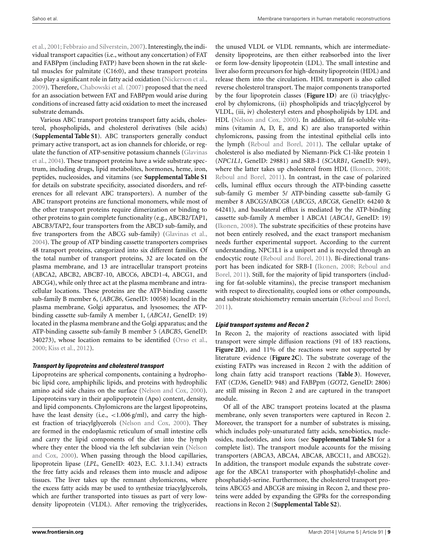et al., 2001; Febbraio and Silverstein, 2007). Interestingly, the individual transport capacities (i.e., without any concertation) of FAT and FABPpm (including FATP) have been shown in the rat skeletal muscles for palmitate (C16:0), and these transport proteins also play a significant role in fatty acid oxidation (Nickerson et al., 2009). Therefore, Chabowski et al. (2007) proposed that the need for an association between FAT and FABPpm would arise during conditions of increased fatty acid oxidation to meet the increased substrate demands.

Various ABC transport proteins transport fatty acids, cholesterol, phospholipids, and cholesterol derivatives (bile acids) (**Supplemental Table S1**). ABC transporters generally conduct primary active transport, act as ion channels for chloride, or regulate the function of ATP-sensitive potassium channels (Glavinas et al., 2004). These transport proteins have a wide substrate spectrum, including drugs, lipid metabolites, hormones, heme, iron, peptides, nucleosides, and vitamins (see **Supplemental Table S1** for details on substrate specificity, associated disorders, and references for all relevant ABC transporters). A number of the ABC transport proteins are functional monomers, while most of the other transport proteins require dimerization or binding to other proteins to gain complete functionality (e.g., ABCB2/TAP1, ABCB3/TAP2, four transporters from the ABCD sub-family, and five transporters from the ABCG sub-family) (Glavinas et al., 2004). The group of ATP binding cassette transporters comprises 48 transport proteins, categorized into six different families. Of the total number of transport proteins, 32 are located on the plasma membrane, and 13 are intracellular transport proteins (ABCA2, ABCB2, ABCB7-10, ABCC6, ABCD1-4, ABCG1, and ABCG4), while only three act at the plasma membrane and intracellular locations. These proteins are the ATP-binding cassette sub-family B member 6, (*ABCB6*, GeneID: 10058) located in the plasma membrane, Golgi apparatus, and lysosomes; the ATPbinding cassette sub-family A member 1, (*ABCA1*, GeneID: 19) located in the plasma membrane and the Golgi apparatus; and the ATP-binding cassette sub-family B member 5 (*ABCB5*, GeneID: 340273), whose location remains to be identified (Orso et al., 2000; Kiss et al., 2012).

## **Transport by lipoproteins and cholesterol transport**

Lipoproteins are spherical components, containing a hydrophobic lipid core, amphiphilic lipids, and proteins with hydrophilic amino acid side chains on the surface (Nelson and Cox, 2000). Lipoproteins vary in their apolipoprotein (Apo) content, density, and lipid components. Chylomicrons are the largest lipoproteins, have the least density (i.e.,  $\langle 1.006 \text{ g/ml} \rangle$ , and carry the highest fraction of triacylglycerols (Nelson and Cox, 2000). They are formed in the endoplasmic reticulum of small intestine cells and carry the lipid components of the diet into the lymph where they enter the blood via the left subclavian vein (Nelson and Cox, 2000). When passing through the blood capillaries, lipoprotein lipase (*LPL*, GeneID: 4023, E.C. 3.1.1.34) extracts the free fatty acids and releases them into muscle and adipose tissues. The liver takes up the remnant chylomicrons, where the excess fatty acids may be used to synthesize triacylglycerols, which are further transported into tissues as part of very lowdensity lipoprotein (VLDL). After removing the triglycerides,

the unused VLDL or VLDL remnants, which are intermediatedensity lipoproteins, are then either reabsorbed into the liver or form low-density lipoprotein (LDL). The small intestine and liver also form precursors for high-density lipoprotein (HDL) and release them into the circulation. HDL transport is also called reverse cholesterol transport. The major components transported by the four lipoprotein classes (**Figure 1D**) are (i) triacylglycerol by chylomicrons, (ii) phospholipids and triacylglycerol by VLDL, (iii, iv) cholesteryl esters and phospholipids by LDL and HDL (Nelson and Cox, 2000). In addition, all fat-soluble vitamins (vitamin A, D, E, and K) are also transported within chylomicrons, passing from the intestinal epithelial cells into the lymph (Reboul and Borel, 2011). The cellular uptake of cholesterol is also mediated by Niemann-Pick C1-like protein 1 (*NPC1L1*, GeneID: 29881) and SRB-I (*SCARB1*, GeneID: 949), where the latter takes up cholesterol from HDL (Ikonen, 2008; Reboul and Borel, 2011). In contrast, in the case of polarized cells, luminal efflux occurs through the ATP-binding cassette sub-family G member 5/ ATP-binding cassette sub-family G member 8 ABCG5/ABCG8 (*ABCG5*, *ABCG8*, GeneID: 64240 & 64241), and basolateral efflux is mediated by the ATP-binding cassette sub-family A member 1 ABCA1 (*ABCA1*, GeneID: 19) (Ikonen, 2008). The substrate specificities of these proteins have not been entirely resolved, and the exact transport mechanism needs further experimental support. According to the current understanding, NPC1L1 is a uniport and is recycled through an endocytic route (Reboul and Borel, 2011). Bi-directional transport has been indicated for SRB-I (Ikonen, 2008; Reboul and Borel, 2011). Still, for the majority of lipid transporters (including for fat-soluble vitamins), the precise transport mechanism with respect to directionality, coupled ions or other compounds, and substrate stoichiometry remain uncertain (Reboul and Borel, 2011).

## **Lipid transport systems and Recon 2**

In Recon 2, the majority of reactions associated with lipid transport were simple diffusion reactions (91 of 183 reactions, **Figure 2D**), and 11% of the reactions were not supported by literature evidence (**Figure 2C**). The substrate coverage of the existing FATPs was increased in Recon 2 with the addition of long chain fatty acid transport reactions (**Table 3**). However, FAT (*CD36*, GeneID: 948) and FABPpm (*GOT2*, GeneID: 2806) are still missing in Recon 2 and are captured in the transport module.

Of all of the ABC transport proteins located at the plasma membrane, only seven transporters were captured in Recon 2. Moreover, the transport for a number of substrates is missing, which includes poly-unsaturated fatty acids, xenobiotics, nucleosides, nucleotides, and ions (see **Supplemental Table S1** for a complete list). The transport module accounts for the missing transporters (ABCA3, ABCA4, ABCA8, ABCC11, and ABCG2). In addition, the transport module expands the substrate coverage for the ABCA1 transporter with phosphatidyl-choline and phosphatidyl-serine. Furthermore, the cholesterol transport proteins ABCG5 and ABCG8 are missing in Recon 2, and these proteins were added by expanding the GPRs for the corresponding reactions in Recon 2 (**Supplemental Table S2**).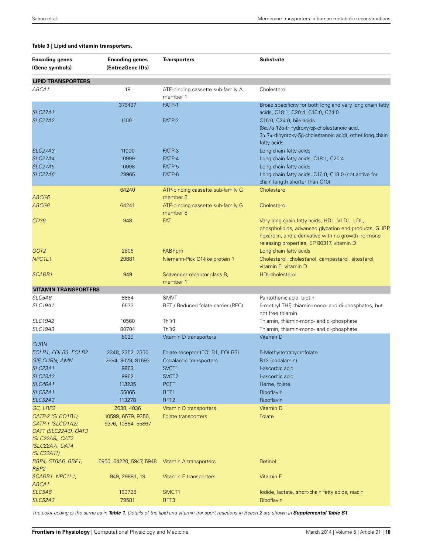| <b>Encoding genes</b><br>(Gene symbols)                                                                     | <b>Encoding genes</b><br>(EntrezGene IDs) | <b>Transporters</b>                           | <b>Substrate</b>                                                                                                                                                                                         |
|-------------------------------------------------------------------------------------------------------------|-------------------------------------------|-----------------------------------------------|----------------------------------------------------------------------------------------------------------------------------------------------------------------------------------------------------------|
| <b>LIPID TRANSPORTERS</b>                                                                                   |                                           |                                               |                                                                                                                                                                                                          |
| ABCA1                                                                                                       | 19                                        | ATP-binding cassette sub-family A<br>member 1 | Cholesterol                                                                                                                                                                                              |
|                                                                                                             | 376497                                    | FATP-1                                        | Broad specificity for both long and very long chain fatty                                                                                                                                                |
| <b>SLC27A1</b>                                                                                              |                                           |                                               | acids, C18:1, C20:4, C16:0, C24:0                                                                                                                                                                        |
| <b>SLC27A2</b>                                                                                              | 11001                                     | FATP-2                                        | C16:0, C24:0, bile acids<br>(3α, 7α, 12α-trihydroxy-5β-cholestanoic acid,<br>3α, 7α-dihydroxy-5β-cholestanoic acid), other long chain<br>fatty acids                                                     |
| <b>SLC27A3</b>                                                                                              | 11000                                     | FATP-3                                        | Long chain fatty acids                                                                                                                                                                                   |
| <b>SLC27A4</b>                                                                                              | 10999                                     | FATP-4                                        | Long chain fatty acids, C18:1, C20:4                                                                                                                                                                     |
| <b>SLC27A5</b>                                                                                              | 10998                                     | FATP-5                                        | Long chain fatty acids                                                                                                                                                                                   |
| <i>SLC27A6</i>                                                                                              | 28965                                     | FATP-6                                        | Long chain fatty acids, C16:0, C18:0 (not active for<br>chain length shorter than C10)                                                                                                                   |
|                                                                                                             | 64240                                     | ATP-binding cassette sub-family G             | Cholesterol                                                                                                                                                                                              |
| <i>ABCG5</i>                                                                                                |                                           | member 5                                      |                                                                                                                                                                                                          |
| <i>ABCG8</i>                                                                                                | 64241                                     | ATP-binding cassette sub-family G<br>member 8 | Cholesterol                                                                                                                                                                                              |
| CD36                                                                                                        | 948                                       | <b>FAT</b>                                    | Very long chain fatty acids, HDL, VLDL, LDL,<br>phospholipids, advanced glycation end products, GHRP,<br>hexarelin, and a derivative with no growth hormone<br>releasing properties, EP 80317, vitamin D |
| GOT2                                                                                                        | 2806                                      | <b>FABPpm</b>                                 | Long chain fatty acids                                                                                                                                                                                   |
| NPC1L1                                                                                                      | 29881                                     | Niemann-Pick C1-like protein 1                | Cholesterol, cholestanol, campesterol, sitosterol,<br>vitamin E, vitamin D                                                                                                                               |
| <i>SCARB1</i>                                                                                               | 949                                       | Scavenger receptor class B,<br>member 1       | <b>HDL-cholesterol</b>                                                                                                                                                                                   |
| <b>VITAMIN TRANSPORTERS</b>                                                                                 |                                           |                                               |                                                                                                                                                                                                          |
| <i>SLC5A6</i>                                                                                               | 8884                                      | <b>SMVT</b>                                   | Pantothenic acid, biotin                                                                                                                                                                                 |
| <i>SLC19A1</i>                                                                                              | 6573                                      | RFT / Reduced folate carrier (RFC)            | 5-methyl THF, thiamin-mono- and di-phosphates, but<br>not free thiamin                                                                                                                                   |
| <i>SLC19A2</i>                                                                                              | 10560                                     | ThTr1                                         | Thiamin, thiamin-mono- and di-phosphate                                                                                                                                                                  |
| <i>SLC19A3</i>                                                                                              | 80704                                     | ThTr2                                         | Thiamin, thiamin-mono- and di-phosphate                                                                                                                                                                  |
|                                                                                                             | 8029                                      | Vitamin D transporters                        | Vitamin D                                                                                                                                                                                                |
| <b>CUBN</b>                                                                                                 |                                           |                                               |                                                                                                                                                                                                          |
| FOLR1, FOLR3, FOLR2                                                                                         | 2348, 2352, 2350                          | Folate receptor (FOLR1, FOLR3)                | 5-Methyltetrahydrofolate                                                                                                                                                                                 |
| GIF, CUBN, AMN                                                                                              | 2694, 8029, 81693                         | Cobalamin transporters                        | B12 (cobalamin)                                                                                                                                                                                          |
| <b>SLC23A1</b>                                                                                              | 9963                                      | SVCT <sub>1</sub>                             | Lascorbic acid                                                                                                                                                                                           |
| <i>SLC23A2</i>                                                                                              | 9962                                      | SVCT <sub>2</sub>                             | L-ascorbic acid                                                                                                                                                                                          |
| <i>SLC46A1</i>                                                                                              | 113235                                    | <b>PCFT</b>                                   | Heme, folate                                                                                                                                                                                             |
| <b>SLC52A1</b>                                                                                              | 55065                                     | RFT1                                          | Riboflavin                                                                                                                                                                                               |
| <i>SLC52A3</i>                                                                                              | 113278                                    | RFT <sub>2</sub>                              | Riboflavin                                                                                                                                                                                               |
| GC, LRP2                                                                                                    | 2638, 4036                                | Vitamin D transporters                        | Vitamin D                                                                                                                                                                                                |
| <i>OATP-2 (SLCO1B1),</i><br>OATP-1 (SLCO1A2),<br>OAT1 (SLC22A6), OAT3<br>(SLC22A8), OAT2<br>(SLC22A7), OAT4 | 10599, 6579, 9356,<br>9376, 10864, 55867  | Folate transporters                           | Folate                                                                                                                                                                                                   |
| (SLC22A11)                                                                                                  |                                           |                                               |                                                                                                                                                                                                          |
| RBP4, STRA6, RBP1,<br>RBP2                                                                                  | 5950, 64220, 5947, 5948                   | Vitamin A transporters                        | Retinol                                                                                                                                                                                                  |
| SCARB1, NPC1L1,<br>ABCA1                                                                                    | 949, 29881, 19                            | Vitamin E transporters                        | Vitamin E                                                                                                                                                                                                |
| <i>SLC5A8</i>                                                                                               | 160728                                    | SMCT <sub>1</sub>                             | lodide, lactate, short-chain fatty acids, niacin                                                                                                                                                         |
| <b>SLC52A2</b>                                                                                              | 79581                                     | RFT3                                          | Riboflavin                                                                                                                                                                                               |

#### **Table 3 | Lipid and vitamin transporters.**

The color coding is the same as in Table 1. Details of the lipid and vitamin transport reactions in Recon 2 are shown in Supplemental Table S1.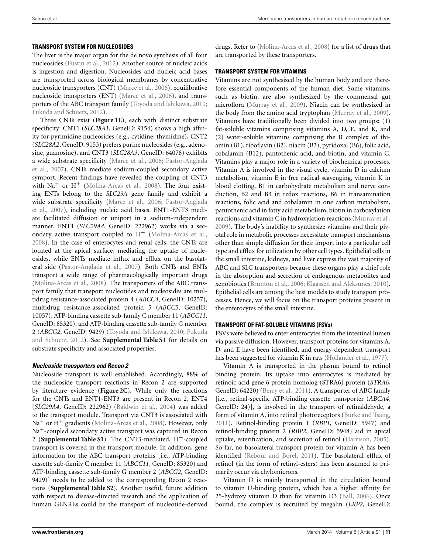## **TRANSPORT SYSTEM FOR NUCLEOSIDES**

The liver is the major organ for the de novo synthesis of all four nucleosides (Fustin et al., 2012). Another source of nucleic acids is ingestion and digestion. Nucleosides and nucleic acid bases are transported across biological membranes by concentrative nucleoside transporters (CNT) (Marce et al., 2006), equilibrative nucleoside transporters (ENT) (Marce et al., 2006), and transporters of the ABC transport family (Toyoda and Ishikawa, 2010; Fukuda and Schuetz, 2012).

Three CNTs exist (**Figure 1E**), each with distinct substrate specificity: CNT1 (*SLC28A1*, GeneID: 9154) shows a high affinity for pyrimidine nucleosides (e.g., cytidine, thymidine), CNT2 (*SLC28A2*, GeneID: 9153) prefers purine nucleosides (e.g., adenosine, guanosine), and CNT3 (*SLC28A3*, GeneID: 64078) exhibits a wide substrate specificity (Marce et al., 2006; Pastor-Anglada et al., 2007). CNTs mediate sodium-coupled secondary active symport. Recent findings have revealed the coupling of CNT3 with  $\text{Na}^+$  or  $\text{H}^+$  (Molina-Arcas et al., 2008). The four existing ENTs belong to the *SLC29A* gene family and exhibit a wide substrate specificity (Marce et al., 2006; Pastor-Anglada et al., 2007), including nucleic acid bases. ENT1-ENT3 mediate facilitated diffusion or uniport in a sodium-independent manner. ENT4 (*SLC29A4*, GeneID: 222962) works via a secondary active transport coupled to  $H^+$  (Molina-Arcas et al., 2008). In the case of enterocytes and renal cells, the CNTs are located at the apical surface, mediating the uptake of nucleosides, while ENTs mediate influx and efflux on the basolateral side (Pastor-Anglada et al., 2007). Both CNTs and ENTs transport a wide range of pharmacologically important drugs (Molina-Arcas et al., 2008). The transporters of the ABC transport family that transport nucleotides and nucleosides are multidrug resistance-associated protein 4 (*ABCC4*, GeneID: 10257), multidrug resistance-associated protein 5 (*ABCC5*, GeneID: 10057), ATP-binding cassette sub-family C member 11 (*ABCC11*, GeneID: 85320), and ATP-binding cassette sub-family G member 2 (*ABCG2*, GeneID: 9429) (Toyoda and Ishikawa, 2010; Fukuda and Schuetz, 2012). See **Supplemental Table S1** for details on substrate specificity and associated properties.

## **Nucleoside transporters and Recon 2**

Nucleoside transport is well established. Accordingly, 88% of the nucleoside transport reactions in Recon 2 are supported by literature evidence (**Figure 2C**). While only the reactions for the CNTs and ENT1-ENT3 are present in Recon 2, ENT4 (*SLC29A4*, GeneID: 222962) (Baldwin et al., 2004) was added to the transport module. Transport via CNT3 is associated with  $Na<sup>+</sup>$  or H<sup>+</sup> gradients (Molina-Arcas et al., 2008). However, only Na<sup>+</sup>-coupled secondary active transport was captured in Recon 2 (**Supplemental Table S1**). The CNT3-mediated, H+-coupled transport is covered in the transport module. In addition, gene information for the ABC transport proteins [i.e., ATP-binding cassette sub-family C member 11 (*ABCC11*, GeneID: 85320) and ATP-binding cassette sub-family G member 2 (*ABCG2*, GeneID: 9429)] needs to be added to the corresponding Recon 2 reactions (**Supplemental Table S2**). Another useful, future addition with respect to disease-directed research and the application of human GENREs could be the transport of nucleotide-derived

#### **TRANSPORT SYSTEM FOR VITAMINS**

Vitamins are not synthesized by the human body and are therefore essential components of the human diet. Some vitamins, such as biotin, are also synthesized by the commensal gut microflora (Murray et al., 2009). Niacin can be synthesized in the body from the amino acid tryptophan (Murray et al., 2009). Vitamins have traditionally been divided into two groups: (1) fat-soluble vitamins comprising vitamins A, D, E, and K, and (2) water-soluble vitamins comprising the B complex of thiamin (B1), riboflavin (B2), niacin (B3), pyridoxal (B6), folic acid, cobalamin (B12), pantothenic acid, and biotin, and vitamin C. Vitamins play a major role in a variety of biochemical processes. Vitamin A is involved in the visual cycle, vitamin D in calcium metabolism, vitamin E in free radical scavenging, vitamin K in blood clotting, B1 in carbohydrate metabolism and nerve conduction, B2 and B3 in redox reactions, B6 in transamination reactions, folic acid and cobalamin in one carbon metabolism, pantothenic acid in fatty acid metabolism, biotin in carboxylation reactions and vitamin C in hydroxylation reactions (Murray et al., 2009). The body's inability to synthesize vitamins and their pivotal role in metabolic processes necessitate transport mechanisms other than simple diffusion for their import into a particular cell type and efflux for utilization by other cell types. Epithelial cells in the small intestine, kidneys, and liver express the vast majority of ABC and SLC transporters because these organs play a chief role in the absorption and secretion of endogenous metabolites and xenobiotics (Brunton et al., 2006; Klaassen and Aleksunes, 2010). Epithelial cells are among the best models to study transport processes. Hence, we will focus on the transport proteins present in the enterocytes of the small intestine.

## **TRANSPORT OF FAT-SOLUBLE VITAMINS (FSVs)**

FSVs were believed to enter enterocytes from the intestinal lumen via passive diffusion. However, transport proteins for vitamins A, D, and E have been identified, and energy-dependent transport has been suggested for vitamin K in rats (Hollander et al., 1977).

Vitamin A is transported in the plasma bound to retinol binding protein. Its uptake into enterocytes is mediated by retinoic acid gene 6 protein homolog (STRA6) protein (*STRA6*, GeneID: 64220) (Berry et al., 2011). A transporter of ABC family [i.e., retinal-specific ATP-binding cassette transporter (*ABCA4*, GeneID: 24)], is involved in the transport of retinaldehyde, a form of vitamin A, into retinal photoreceptors (Burke and Tsang, 2011). Retinol-binding protein 1 (*RBP1*, GeneID: 5947) and retinol-binding protein 2 (*RBP2*, GeneID: 5948) aid in apical uptake, esterification, and secretion of retinol (Harrison, 2005). So far, no basolateral transport protein for vitamin A has been identified (Reboul and Borel, 2011). The basolateral efflux of retinol (in the form of retinyl-esters) has been assumed to primarily occur via chylomicrons.

Vitamin D is mainly transported in the circulation bound to vitamin D-binding protein, which has a higher affinity for 25-hydroxy vitamin D than for vitamin D3 (Ball, 2006). Once bound, the complex is recruited by megalin (*LRP2*, GeneID: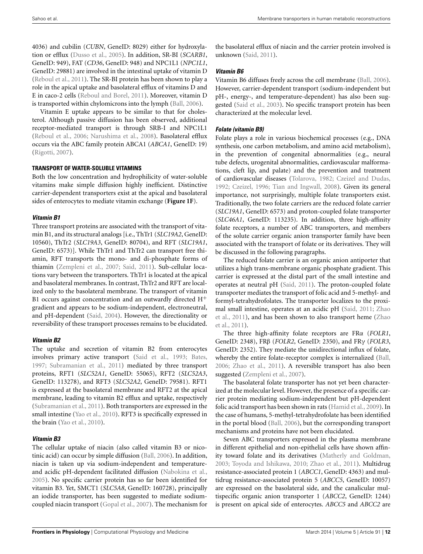4036) and cubilin (*CUBN*, GeneID: 8029) either for hydroxylation or efflux (Dusso et al., 2005). In addition, SR-BI (*SCARB1*, GeneID: 949), FAT (*CD36*, GeneID: 948) and NPC1L1 (*NPC1L1*, GeneID: 29881) are involved in the intestinal uptake of vitamin D (Reboul et al., 2011). The SR-BI protein has been shown to play a role in the apical uptake and basolateral efflux of vitamins D and E in caco-2 cells (Reboul and Borel, 2011). Moreover, vitamin D is transported within chylomicrons into the lymph (Ball, 2006).

Vitamin E uptake appears to be similar to that for cholesterol. Although passive diffusion has been observed, additional receptor-mediated transport is through SRB-I and NPC1L1 (Reboul et al., 2006; Narushima et al., 2008). Basolateral efflux occurs via the ABC family protein ABCA1 (*ABCA1*, GeneID: 19) (Rigotti, 2007).

#### **TRANSPORT OF WATER-SOLUBLE VITAMINS**

Both the low concentration and hydrophilicity of water-soluble vitamins make simple diffusion highly inefficient. Distinctive carrier-dependent transporters exist at the apical and basolateral sides of enterocytes to mediate vitamin exchange (**Figure 1F**).

## **Vitamin B1**

Three transport proteins are associated with the transport of vitamin B1, and its structural analogs [i.e., ThTr1 (*SLC19A2*, GeneID: 10560), ThTr2 (*SLC19A3*, GeneID: 80704), and RFT (*SLC19A1*, GeneID: 6573)]. While ThTr1 and ThTr2 can transport free thiamin, RFT transports the mono- and di-phosphate forms of thiamin (Zempleni et al., 2007; Said, 2011). Sub-cellular locations vary between the transporters. ThTr1 is located at the apical and basolateral membranes. In contrast, ThTr2 and RFT are localized only to the basolateral membrane. The transport of vitamin B1 occurs against concentration and an outwardly directed  $H^+$ gradient and appears to be sodium-independent, electroneutral, and pH-dependent (Said, 2004). However, the directionality or reversibility of these transport processes remains to be elucidated.

## **Vitamin B2**

The uptake and secretion of vitamin B2 from enterocytes involves primary active transport (Said et al., 1993; Bates, 1997; Subramanian et al., 2011) mediated by three transport proteins, RFT1 (*SLC52A1*, GeneID: 55065), RFT2 (*SLC52A3*, GeneID: 113278), and RFT3 (*SLC52A2*, GeneID: 79581). RFT1 is expressed at the basolateral membrane and RFT2 at the apical membrane, leading to vitamin B2 efflux and uptake, respectively (Subramanian et al., 2011). Both transporters are expressed in the small intestine (Yao et al., 2010). RFT3 is specifically expressed in the brain (Yao et al., 2010).

## **Vitamin B3**

The cellular uptake of niacin (also called vitamin B3 or nicotinic acid) can occur by simple diffusion (Ball, 2006). In addition, niacin is taken up via sodium-independent and temperatureand acidic pH-dependent facilitated diffusion (Nabokina et al., 2005). No specific carrier protein has so far been identified for vitamin B3. Yet, SMCT1 (*SLC5A8*, GeneID: 160728), principally an iodide transporter, has been suggested to mediate sodiumcoupled niacin transport (Gopal et al., 2007). The mechanism for

the basolateral efflux of niacin and the carrier protein involved is unknown (Said, 2011).

## **Vitamin B6**

Vitamin B6 diffuses freely across the cell membrane (Ball, 2006). However, carrier-dependent transport (sodium-independent but pH-, energy-, and temperature-dependent) has also been suggested (Said et al., 2003). No specific transport protein has been characterized at the molecular level.

## **Folate (vitamin B9)**

Folate plays a role in various biochemical processes (e.g., DNA synthesis, one carbon metabolism, and amino acid metabolism), in the prevention of congenital abnormalities (e.g., neural tube defects, urogenital abnormalities, cardiovascular malformations, cleft lip, and palate) and the prevention and treatment of cardiovascular diseases (Tolarova, 1982; Czeizel and Dudas, 1992; Czeizel, 1996; Tian and Ingwall, 2008). Given its general importance, not surprisingly, multiple folate transporters exist. Traditionally, the two folate carriers are the reduced folate carrier (*SLC19A1*, GeneID: 6573) and proton-coupled folate transporter (*SLC46A1*, GeneID: 113235). In addition, three high-affinity folate receptors, a number of ABC transporters, and members of the solute carrier organic anion transporter family have been associated with the transport of folate or its derivatives. They will be discussed in the following paragraphs.

The reduced folate carrier is an organic anion antiporter that utilizes a high trans-membrane organic phosphate gradient. This carrier is expressed at the distal part of the small intestine and operates at neutral pH (Said, 2011). The proton-coupled folate transporter mediates the transport of folic acid and 5-methyl- and formyl-tetrahydrofolates. The transporter localizes to the proximal small intestine, operates at an acidic pH (Said, 2011; Zhao et al., 2011), and has been shown to also transport heme (Zhao et al., 2011).

The three high-affinity folate receptors are FRα (*FOLR1*, GeneID: 2348), FRβ (*FOLR2*, GeneID: 2350), and FRγ (*FOLR3*, GeneID: 2352). They mediate the unidirectional influx of folate, whereby the entire folate-receptor complex is internalized (Ball, 2006; Zhao et al., 2011). A reversible transport has also been suggested (Zempleni et al., 2007).

The basolateral folate transporter has not yet been characterized at the molecular level. However, the presence of a specific carrier protein mediating sodium-independent but pH-dependent folic acid transport has been shown in rats (Hamid et al., 2009). In the case of humans, 5-methyl-tetrahydrofolate has been identified in the portal blood (Ball, 2006), but the corresponding transport mechanisms and proteins have not been elucidated.

Seven ABC transporters expressed in the plasma membrane in different epithelial and non-epithelial cells have shown affinity toward folate and its derivatives (Matherly and Goldman, 2003; Toyoda and Ishikawa, 2010; Zhao et al., 2011). Multidrug resistance-associated protein 1 (*ABCC1*, GeneID: 4363) and multidrug resistance-associated protein 5 (*ABCC5*, GeneID: 10057) are expressed on the basolateral side, and the canalicular multispecific organic anion transporter 1 (*ABCC2*, GeneID: 1244) is present on apical side of enterocytes. *ABCC5* and *ABCC2* are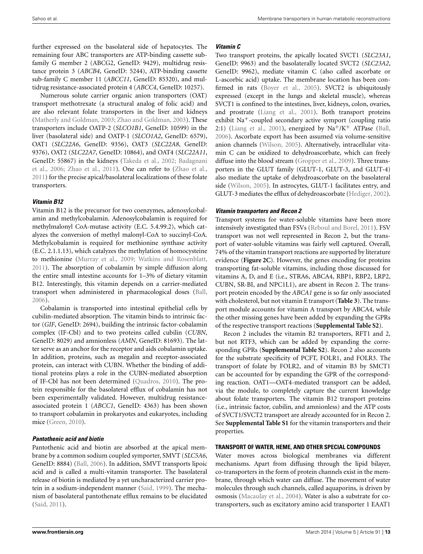further expressed on the basolateral side of hepatocytes. The remaining four ABC transporters are ATP-binding cassette subfamily G member 2 (ABCG2, GeneID: 9429), multidrug resistance protein 3 (*ABCB4*, GeneID: 5244), ATP-binding cassette sub-family C member 11 (*ABCC11*, GeneID: 85320), and multidrug resistance-associated protein 4 (*ABCC4*, GeneID: 10257).

Numerous solute carrier organic anion transporters (OAT) transport methotrexate (a structural analog of folic acid) and are also relevant folate transporters in the liver and kidneys (Matherly and Goldman, 2003; Zhao and Goldman, 2003). These transporters include OATP-2 (*SLCO1B1*, GeneID: 10599) in the liver (basolateral side) and OATP-1 (*SLCO1A2*, GeneID: 6579), OAT1 (*SLC22A6*, GeneID: 9356), OAT3 (*SLC22A8*, GeneID: 9376), OAT2 (*SLC22A7*, GeneID: 10864), and OAT4 (*SLC22A11*, GeneID: 55867) in the kidneys (Takeda et al., 2002; Badagnani et al., 2006; Zhao et al., 2011). One can refer to (Zhao et al., 2011) for the precise apical/basolateral localizations of these folate transporters.

## **Vitamin B12**

Vitamin B12 is the precursor for two coenzymes, adenosylcobalamin and methylcobalamin. Adenosylcobalamin is required for methylmalonyl CoA-mutase activity (E.C. 5.4.99.2), which catalyzes the conversion of methyl malonyl-CoA to succinyl-CoA. Methylcobalamin is required for methionine synthase activity (E.C. 2.1.1.13), which catalyzes the methylation of homocysteine to methionine (Murray et al., 2009; Watkins and Rosenblatt, 2011). The absorption of cobalamin by simple diffusion along the entire small intestine accounts for 1–3% of dietary vitamin B12. Interestingly, this vitamin depends on a carrier-mediated transport when administered in pharmacological doses (Ball, 2006).

Cobalamin is transported into intestinal epithelial cells by cubilin-mediated absorption. The vitamin binds to intrinsic factor (*GIF*, GeneID: 2694), building the intrinsic factor-cobalamin complex (IF-Cbl) and to two proteins called cubilin (*CUBN*, GeneID: 8029) and amnionless (*AMN*, GeneID: 81693). The latter serve as an anchor for the receptor and aids cobalamin uptake. In addition, proteins, such as megalin and receptor-associated protein, can interact with CUBN. Whether the binding of additional proteins plays a role in the CUBN-mediated absorption of IF-Cbl has not been determined (Quadros, 2010). The protein responsible for the basolateral efflux of cobalamin has not been experimentally validated. However, multidrug resistanceassociated protein 1 (*ABCC1*, GeneID: 4363) has been shown to transport cobalamin in prokaryotes and eukaryotes, including mice (Green, 2010).

## **Pantothenic acid and biotin**

Pantothenic acid and biotin are absorbed at the apical membrane by a common sodium coupled symporter, SMVT (*SLC5A6*, GeneID: 8884) (Ball, 2006). In addition, SMVT transports lipoic acid and is called a multi-vitamin transporter. The basolateral release of biotin is mediated by a yet uncharacterized carrier protein in a sodium-independent manner (Said, 1999). The mechanism of basolateral pantothenate efflux remains to be elucidated (Said, 2011).

#### **Vitamin C**

Two transport proteins, the apically located SVCT1 (*SLC23A1*, GeneID: 9963) and the basolaterally located SVCT2 (*SLC23A2*, GeneID: 9962), mediate vitamin C (also called ascorbate or L-ascorbic acid) uptake. The membrane location has been confirmed in rats (Boyer et al., 2005). SVCT2 is ubiquitously expressed (except in the lungs and skeletal muscle), whereas SVCT1 is confined to the intestines, liver, kidneys, colon, ovaries, and prostrate (Liang et al., 2001). Both transport proteins exhibit Na+-coupled secondary active symport (coupling ratio 2:1) (Liang et al., 2001), energized by  $\mathrm{Na^+/K^+}$  ATPase (Ball, 2006). Ascorbate export has been assumed via volume-sensitive anion channels (Wilson, 2005). Alternatively, intracellular vitamin C can be oxidized to dehydroascorbate, which can freely diffuse into the blood stream (Gropper et al., 2009). Three transporters in the GLUT family (GLUT-1, GLUT-3, and GLUT-4) also mediate the uptake of dehydroascorbate on the basolateral side (Wilson, 2005). In astrocytes, GLUT-1 facilitates entry, and GLUT-3 mediates the efflux of dehydroascorbate (Hediger, 2002).

#### **Vitamin transporters and Recon 2**

Transport systems for water-soluble vitamins have been more intensively investigated than FSVs (Reboul and Borel, 2011). FSV transport was not well represented in Recon 2, but the transport of water-soluble vitamins was fairly well captured. Overall, 74% of the vitamin transport reactions are supported by literature evidence (**Figure 2C**). However, the genes encoding for proteins transporting fat-soluble vitamins, including those discussed for vitamins A, D, and E (i.e., STRA6, ABCA4, RBP1, RBP2, LRP2, CUBN, SR-BI, and NPC1L1), are absent in Recon 2. The transport protein encoded by the *ABCA1* gene is so far only associated with cholesterol, but not vitamin E transport (**Table 3**). The transport module accounts for vitamin A transport by ABCA4, while the other missing genes have been added by expanding the GPRs of the respective transport reactions (**Supplemental Table S2**).

Recon 2 includes the vitamin B2 transporters, RFT1 and 2, but not RTF3, which can be added by expanding the corresponding GPRs (**Supplemental Table S2**). Recon 2 also accounts for the substrate specificity of PCFT, FOLR1, and FOLR3. The transport of folate by FOLR2, and of vitamin B3 by SMCT1 can be accounted for by expanding the GPR of the corresponding reaction. OAT1—OAT4-mediated transport can be added, via the module, to completely capture the current knowledge about folate transporters. The vitamin B12 transport proteins (i.e., intrinsic factor, cubilin, and amnionless) and the ATP costs of SVCT1/SVCT2 transport are already accounted for in Recon 2. See **Supplemental Table S1** for the vitamin transporters and their properties.

#### **TRANSPORT OF WATER, HEME, AND OTHER SPECIAL COMPOUNDS**

Water moves across biological membranes via different mechanisms. Apart from diffusing through the lipid bilayer, co-transporters in the form of protein channels exist in the membrane, through which water can diffuse. The movement of water molecules through such channels, called aquaporins, is driven by osmosis (Macaulay et al., 2004). Water is also a substrate for cotransporters, such as excitatory amino acid transporter 1 EAAT1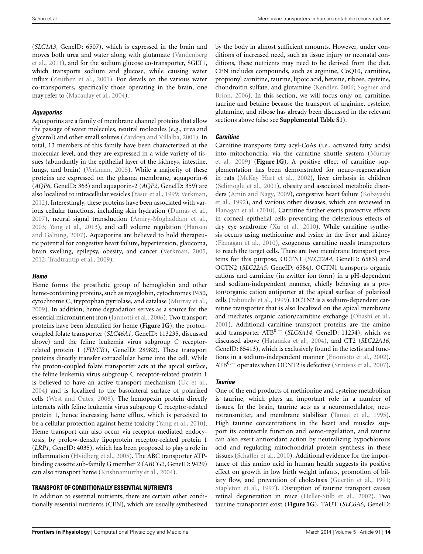(*SLC1A3*, GeneID: 6507), which is expressed in the brain and moves both urea and water along with glutamate (Vandenberg et al., 2011), and for the sodium glucose co-transporter, SGLT1, which transports sodium and glucose, while causing water influx (Zeuthen et al., 2001). For details on the various water co-transporters, specifically those operating in the brain, one may refer to (Macaulay et al., 2004).

## **Aquaporins**

Aquaporins are a family of membrane channel proteins that allow the passage of water molecules, neutral molecules (e.g., urea and glycerol) and other small solutes (Zardoya and Villalba, 2001). In total, 13 members of this family have been characterized at the molecular level, and they are expressed in a wide variety of tissues (abundantly in the epithelial layer of the kidneys, intestine, lungs, and brain) (Verkman, 2005). While a majority of these proteins are expressed on the plasma membrane, aquaporin-6 (*AQP6*, GeneID: 363) and aquaporin-2 (*AQP2*, GeneID: 359) are also localized to intracellular vesicles (Yasui et al., 1999; Verkman, 2012). Interestingly, these proteins have been associated with various cellular functions, including skin hydration (Dumas et al., 2007), neural signal transduction (Amiry-Moghaddam et al., 2003; Yang et al., 2013), and cell volume regulation (Hansen and Galtung, 2007). Aquaporins are believed to hold therapeutic potential for congestive heart failure, hypertension, glaucoma, brain swelling, epilepsy, obesity, and cancer (Verkman, 2005, 2012; Tradtrantip et al., 2009).

## **Heme**

Heme forms the prosthetic group of hemoglobin and other heme-containing proteins, such as myoglobin, cytochromes P450, cytochrome C, tryptophan pyrrolase, and catalase (Murray et al., 2009). In addition, heme degradation serves as a source for the essential micronutrient iron (Iannotti et al., 2006). Two transport proteins have been identified for heme (**Figure 1G**), the protoncoupled folate transporter (*SLC46A1*, GeneID: 113235, discussed above) and the feline leukemia virus subgroup C receptorrelated protein 1 (*FLVCR1*, GeneID: 28982). These transport proteins directly transfer extracellular heme into the cell. While the proton-coupled folate transporter acts at the apical surface, the feline leukemia virus subgroup C receptor-related protein 1 is believed to have an active transport mechanism (Uc et al., 2004) and is localized to the basolateral surface of polarized cells (West and Oates, 2008). The hemopexin protein directly interacts with feline leukemia virus subgroup C receptor-related protein 1, hence increasing heme efflux, which is perceived to be a cellular protection against heme toxicity (Yang et al., 2010). Heme transport can also occur via receptor-mediated endocytosis, by prolow-density lipoprotein receptor-related protein 1 (*LRP1*, GeneID: 4035), which has been proposed to play a role in inflammation (Hvidberg et al., 2005). The ABC transporter ATPbinding cassette sub-family G member 2 (*ABCG2*, GeneID: 9429) can also transport heme (Krishnamurthy et al., 2004).

## **TRANSPORT OF CONDITIONALLY ESSENTIAL NUTRIENTS**

In addition to essential nutrients, there are certain other conditionally essential nutrients (CEN), which are usually synthesized by the body in almost sufficient amounts. However, under conditions of increased need, such as tissue injury or neonatal conditions, these nutrients may need to be derived from the diet. CEN includes compounds, such as arginine, CoQ10, carnitine, propionyl carnitine, taurine, lipoic acid, betaine, ribose, cysteine, chondroitin sulfate, and glutamine (Kendler, 2006; Soghier and Brion, 2006). In this section, we will focus only on carnitine, taurine and betaine because the transport of arginine, cysteine, glutamine, and ribose has already been discussed in the relevant sections above (also see **Supplemental Table S1**).

## **Carnitine**

Carnitine transports fatty acyl-CoAs (i.e., activated fatty acids) into mitochondria, via the carnitine shuttle system (Murray et al., 2009) (**Figure 1G**). A positive effect of carnitine supplementation has been demonstrated for neuro-regeneration in rats (McKay Hart et al., 2002), liver cirrhosis in children (Selimoglu et al., 2001), obesity and associated metabolic disorders (Amin and Nagy, 2009), congestive heart failure (Kobayashi et al., 1992), and various other diseases, which are reviewed in Flanagan et al. (2010). Carnitine further exerts protective effects in corneal epithelial cells preventing the deleterious effects of dry eye syndrome (Xu et al., 2010). While carnitine synthesis occurs using methionine and lysine in the liver and kidney (Flanagan et al., 2010), exogenous carnitine needs transporters to reach the target cells. There are two membrane transport proteins for this purpose, OCTN1 (*SLC22A4*, GeneID: 6583) and OCTN2 (*SLC22A5*, GeneID: 6584). OCTN1 transports organic cations and carnitine (in zwitter ion form) in a pH-dependent and sodium-independent manner, chiefly behaving as a proton/organic cation antiporter at the apical surface of polarized cells (Yabuuchi et al., 1999). OCTN2 is a sodium-dependent carnitine transporter that is also localized on the apical membrane and mediates organic cation/carnitine exchange (Ohashi et al., 2001). Additional carnitine transport proteins are the amino acid transporter ATB0,<sup>+</sup> (*SLC6A14*, GeneID: 11254), which we discussed above (Hatanaka et al., 2004), and CT2 (*SLC22A16*, GeneID: 85413), which is exclusively found in the testis and functions in a sodium-independent manner (Enomoto et al., 2002).  $ATB^{0,+}$  operates when OCNT2 is defective (Srinivas et al., 2007).

# **Taurine**

One of the end products of methionine and cysteine metabolism is taurine, which plays an important role in a number of tissues. In the brain, taurine acts as a neuromodulator, neurotransmitter, and membrane stabilizer (Tamai et al., 1995). High taurine concentrations in the heart and muscles support its contractile function and osmo-regulation, and taurine can also exert antioxidant action by neutralizing hypochlorous acid and regulating mitochondrial protein synthesis in these tissues (Schaffer et al., 2010). Additional evidence for the importance of this amino acid in human health suggests its positive effect on growth in low birth weight infants, promotion of biliary flow, and prevention of cholestasis (Guertin et al., 1991; Stapleton et al., 1997). Disruption of taurine transport causes retinal degeneration in mice (Heller-Stilb et al., 2002). Two taurine transporter exist (**Figure 1G**), TAUT (*SLC6A6*, GeneID: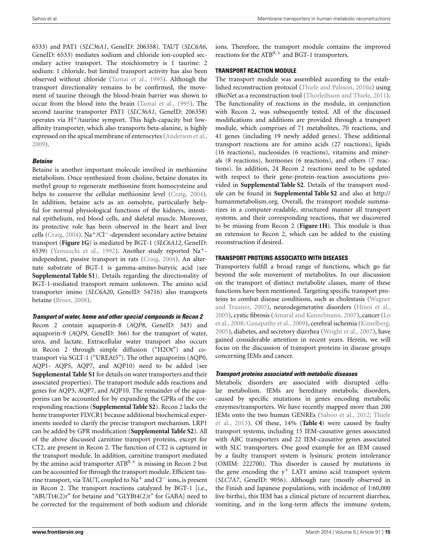6533) and PAT1 (*SLC36A1*, GeneID: 206358). TAUT (*SLC6A6*, GeneID: 6533) mediates sodium and chloride ion-coupled secondary active transport. The stoichiometry is 1 taurine: 2 sodium: 1 chloride, but limited transport activity has also been observed without chloride (Tamai et al., 1995). Although the transport directionality remains to be confirmed, the movement of taurine through the blood-brain barrier was shown to occur from the blood into the brain (Tamai et al., 1995). The second taurine transporter PAT1 (*SLC36A1*, GeneID: 206358) operates via  $H^+$ /taurine symport. This high-capacity but lowaffinity transporter, which also transports beta-alanine, is highly expressed on the apical membrane of enterocytes (Anderson et al., 2009).

#### **Betaine**

Betaine is another important molecule involved in methionine metabolism. Once synthesized from choline, betaine donates its methyl group to regenerate methionine from homocysteine and helps to conserve the cellular methionine level (Craig, 2004). In addition, betaine acts as an osmolyte, particularly helpful for normal physiological functions of the kidneys, intestinal epithelium, red blood cells, and skeletal muscle. Moreover, its protective role has been observed in the heart and liver cells (Craig, 2004). Na<sup>+</sup>/Cl<sup>−</sup>-dependent secondary active betaine transport (**Figure 1G**) is mediated by BGT-1 (*SLC6A12*, GeneID: 6539) (Yamauchi et al., 1992). Another study reported Na+ independent, passive transport in rats (Craig, 2004). An alternate substrate of BGT-1 is gamma-amino-butyric acid (see **Supplemental Table S1**). Details regarding the directionality of BGT-1-mediated transport remain unknown. The amino acid transporter imino (*SLC6A20*, GeneID: 54716) also transports betaine (Broer, 2008).

#### **Transport of water, heme and other special compounds in Recon 2**

Recon 2 contain aquaporin-8 (*AQP8*, GeneID: 343) and aquaporin-9 (*AQP9*, GeneID: 366) for the transport of water, urea, and lactate. Extracellular water transport also occurs in Recon 2 through simple diffusion ("H2Ot") and cotransport via SGLT-1 ("UREAt5"). The other aquaporins (AQP0, AQP1- AQP5, AQP7, and AQP10) need to be added (see **Supplemental Table S1** for details on water transporters and their associated properties). The transport module adds reactions and genes for AQP3, AQP7, and AQP10. The remainder of the aquaporins can be accounted for by expanding the GPRs of the corresponding reactions (**Supplemental Table S2**). Recon 2 lacks the heme transporter FLVCR1 because additional biochemical experiments needed to clarify the precise transport mechanism. LRP1 can be added by GPR modification (**Supplemental Table S2**). All of the above discussed carnitine transport proteins, except for CT2, are present in Recon 2. The function of CT2 is captured in the transport module. In addition, carnitine transport mediated by the amino acid transporter  $ATB^{0,+}$  is missing in Recon 2 but can be accounted for through the transport module. Efficient taurine transport, via TAUT, coupled to Na<sup>+</sup> and Cl<sup>−</sup> ions, is present in Recon 2. The transport reactions catalyzed by BGT-1 [i.e., "ABUTt4 $(2)r$ " for betaine and "GLYBt4 $(2)r$ " for GABA] need to be corrected for the requirement of both sodium and chloride ions. Therefore, the transport module contains the improved reactions for the  $ATB^{0,+}$  and BGT-1 transporters.

#### **TRANSPORT REACTION MODULE**

The transport module was assembled according to the established reconstruction protocol (Thiele and Palsson, 2010a) using rBioNet as a reconstruction tool (Thorleifsson and Thiele, 2011). The functionality of reactions in the module, in conjunction with Recon 2, was subsequently tested. All of the discussed modifications and additions are provided through a transport module, which comprises of 71 metabolites, 70 reactions, and 41 genes (including 19 newly added genes). These additional transport reactions are for amino acids (27 reactions), lipids (16 reactions), nucleosides (6 reactions), vitamins and minerals (8 reactions), hormones (6 reactions), and others (7 reactions). In addition, 24 Recon 2 reactions need to be updated with respect to their gene-protein-reaction associations provided in **Supplemental Table S2**. Details of the transport module can be found in **Supplemental Table S2** and also at http:// humanmetabolism.org. Overall, the transport module summarizes in a computer-readable, structured manner all transport systems, and their corresponding reactions, that we discovered to be missing from Recon 2 (**Figure 1H**). This module is thus an extension to Recon 2, which can be added to the existing reconstruction if desired.

#### **TRANSPORT PROTEINS ASSOCIATED WITH DISEASES**

Transporters fulfill a broad range of functions, which go far beyond the sole movement of metabolites. In our discussion on the transport of distinct metabolite classes, many of these functions have been mentioned. Targeting specific transport proteins to combat disease conditions, such as cholestasis (Wagner and Trauner, 2005), neurodegenerative disorders (Hinoi et al., 2005), cystic fibrosis (Amaral and Kunzelmann, 2007), cancer (Lo et al., 2008; Ganapathy et al., 2009), cerebral ischemia (Kimelberg, 2005), diabetes, and secretory diarrhea (Wright et al., 2007), have gained considerable attention in recent years. Herein, we will focus on the discussion of transport proteins in disease groups concerning IEMs and cancer.

#### **Transport proteins associated with metabolic diseases**

Metabolic disorders are associated with disrupted cellular metabolism. IEMs are hereditary metabolic disorders, caused by specific mutations in genes encoding metabolic enzymes/transporters. We have recently mapped more than 200 IEMs onto the two human GENREs (Sahoo et al., 2012; Thiele et al., 2013). Of these, 14% (**Table 4**) were caused by faulty transport systems, including 15 IEM-causative genes associated with ABC transporters and 22 IEM-causative genes associated with SLC transporters. One good example for an IEM caused by a faulty transport system is lysinuric protein intolerance (OMIM: 222700). This disorder is caused by mutations in the gene encoding the  $y^{+}$  LAT1 amino acid transport system (*SLC7A7*, GeneID: 9056). Although rare (mostly observed in the Finish and Japanese populations, with incidence of 1:60,000 live births), this IEM has a clinical picture of recurrent diarrhea, vomiting, and in the long-term affects the immune system,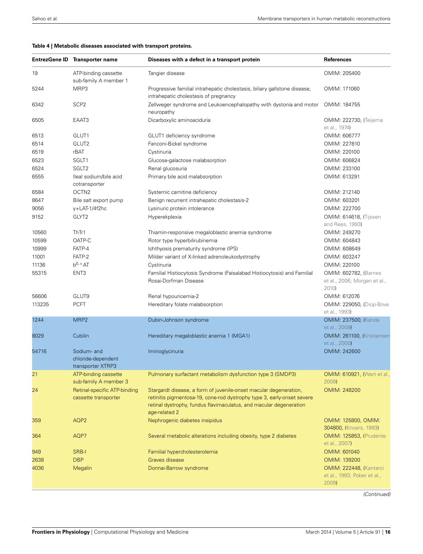#### **Table 4 | Metabolic diseases associated with transport proteins.**

|        | EntrezGene ID Transporter name                       | Diseases with a defect in a transport protein                                                                                                                                                                                      | <b>References</b>                                                      |
|--------|------------------------------------------------------|------------------------------------------------------------------------------------------------------------------------------------------------------------------------------------------------------------------------------------|------------------------------------------------------------------------|
| 19     | ATP-binding cassette<br>sub-family A member 1        | Tangier disease                                                                                                                                                                                                                    | OMIM: 205400                                                           |
| 5244   | MRP3                                                 | Progressive familial intrahepatic cholestasis, biliary gallstone disease,<br>intrahepatic cholestasis of pregnancy                                                                                                                 | OMIM: 171060                                                           |
| 6342   | SCP <sub>2</sub>                                     | Zellweger syndrome and Leukoencephalopathy with dystonia and motor<br>neuropathy                                                                                                                                                   | OMIM: 184755                                                           |
| 6505   | EAAT3                                                | Dicarboxylic aminoaciduria                                                                                                                                                                                                         | <b>OMIM: 222730, (Teijema</b><br>et al., 1974)                         |
| 6513   | GLUT1                                                | GLUT1 deficiency syndrome                                                                                                                                                                                                          | OMIM: 606777                                                           |
| 6514   | GLUT2                                                | Fanconi-Bickel syndrome                                                                                                                                                                                                            | OMIM: 227810                                                           |
| 6519   | rBAT                                                 | Cystinuria                                                                                                                                                                                                                         | OMIM: 220100                                                           |
| 6523   | SGLT1                                                | Glucose-galactose malabsorption                                                                                                                                                                                                    | OMIM: 606824                                                           |
| 6524   | SGLT <sub>2</sub>                                    | Renal glucosuria                                                                                                                                                                                                                   | OMIM: 233100                                                           |
|        |                                                      |                                                                                                                                                                                                                                    | OMIM: 613291                                                           |
| 6555   | Ileal sodium/bile acid<br>cotransporter              | Primary bile acid malabsorption                                                                                                                                                                                                    |                                                                        |
| 6584   | OCTN <sub>2</sub>                                    | Systemic carnitine deficiency                                                                                                                                                                                                      | OMIM: 212140                                                           |
| 8647   | Bile salt export pump                                | Benign recurrent intrahepatic cholestasis-2                                                                                                                                                                                        | OMIM: 603201                                                           |
| 9056   | y+LAT-1/4f2hc                                        |                                                                                                                                                                                                                                    | OMIM: 222700                                                           |
|        |                                                      | Lysinuric protein intolerance                                                                                                                                                                                                      |                                                                        |
| 9152   | GLYT2                                                | Hyperekplexia                                                                                                                                                                                                                      | <b>OMIM: 614618, (Tijssen</b><br>and Rees, 1993)                       |
| 10560  | ThTr1                                                | Thiamin-responsive megaloblastic anemia syndrome                                                                                                                                                                                   | OMIM: 249270                                                           |
| 10599  | OATP-C                                               | Rotor type hyperbilirubinemia                                                                                                                                                                                                      | OMIM: 604843                                                           |
| 10999  | FATP-4                                               | Ichthyosis prematurity syndrome (IPS)                                                                                                                                                                                              | OMIM: 608649                                                           |
| 11001  | FATP-2                                               | Milder variant of X-linked adrenoleukodystrophy                                                                                                                                                                                    | OMIM: 603247                                                           |
| 11136  | $b^{0,+}AT$                                          | Cystinuria                                                                                                                                                                                                                         | OMIM: 220100                                                           |
| 55315  | ENT <sub>3</sub>                                     | Familial Histiocytosis Syndrome (Faisalabad Histiocytosis) and Familial<br>Rosai-Dorfman Disease                                                                                                                                   | <b>OMIM: 602782, (Barnes)</b><br>et al., 2006; Morgan et al.,<br>2010) |
| 56606  | GLUT9                                                | Renal hypouricemia-2                                                                                                                                                                                                               | OMIM: 612076                                                           |
| 113235 | <b>PCFT</b>                                          | Hereditary folate malabsorption                                                                                                                                                                                                    | <b>OMIM: 229050, (Diop-Bove</b>                                        |
|        |                                                      |                                                                                                                                                                                                                                    | et al., 1993)                                                          |
| 1244   | MRP <sub>2</sub>                                     | Dubin-Johnson syndrome                                                                                                                                                                                                             | <b>OMIM: 237500, (Kanda</b><br>et al., 2009)                           |
| 8029   | Cubilin                                              | Hereditary megaloblastic anemia 1 (MGA1)                                                                                                                                                                                           | OMIM: 261100, (Kristiansen<br>et al., 2000)                            |
| 54716  | Sodium- and<br>chloride-dependent                    | Iminoglycinuria                                                                                                                                                                                                                    | OMIM: 242600                                                           |
|        | transporter XTRP3                                    |                                                                                                                                                                                                                                    |                                                                        |
| 21     | ATP-binding cassette<br>sub-family A member 3        | Pulmonary surfactant metabolism dysfunction type 3 (SMDP3)                                                                                                                                                                         | <b>OMIM: 610921, (Wert et al.,</b><br>2009)                            |
| 24     | Retinal-specific ATP-binding<br>cassette transporter | Stargardt disease, a form of juvenile-onset macular degeneration,<br>retinitis pigmentosa-19, cone-rod dystrophy type 3, early-onset severe<br>retinal dystrophy, fundus flavimaculatus, and macular degeneration<br>age-related 2 | OMIM: 248200                                                           |
| 359    | AQP <sub>2</sub>                                     | Nephrogenic diabetes insipidus                                                                                                                                                                                                     | OMIM: 125800, OMIM:<br>304800, (Knoers, 1993)                          |
| 364    | AQP7                                                 | Several metabolic alterations including obesity, type 2 diabetes                                                                                                                                                                   | <b>OMIM: 125853, (Prudente)</b><br>et al., 2007)                       |
| 949    | SRB-I                                                | Familial hypercholesterolemia                                                                                                                                                                                                      | OMIM: 601040                                                           |
| 2638   | <b>DBP</b>                                           | Graves disease                                                                                                                                                                                                                     | OMIM: 139200                                                           |
| 4036   | Megalin                                              | Donnai-Barrow syndrome                                                                                                                                                                                                             | OMIM: 222448, (Kantarci                                                |
|        |                                                      |                                                                                                                                                                                                                                    | et al., 1993; Pober et al.,<br>2009)                                   |

*(Continued)*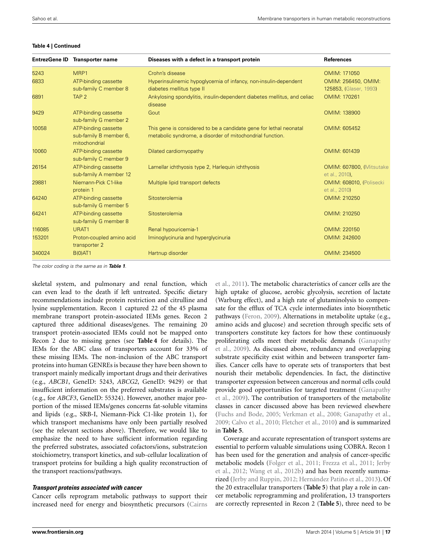#### **Table 4 | Continued**

|        | EntrezGene ID Transporter name                                  | Diseases with a defect in a transport protein                                                                                   | <b>References</b>                             |
|--------|-----------------------------------------------------------------|---------------------------------------------------------------------------------------------------------------------------------|-----------------------------------------------|
| 5243   | MRP1                                                            | Crohn's disease                                                                                                                 | OMIM: 171050                                  |
| 6833   | ATP-binding cassette<br>sub-family C member 8                   | Hyperinsulinemic hypoglycemia of infancy, non-insulin-dependent<br>diabetes mellitus type II                                    | OMIM: 256450, OMIM:<br>125853, (Glaser, 1993) |
| 6891   | TAP <sub>2</sub>                                                | Ankylosing spondylitis, insulin-dependent diabetes mellitus, and celiac<br>disease                                              | OMIM: 170261                                  |
| 9429   | ATP-binding cassette<br>sub-family G member 2                   | Gout                                                                                                                            | OMIM: 138900                                  |
| 10058  | ATP-binding cassette<br>sub-family B member 6,<br>mitochondrial | This gene is considered to be a candidate gene for lethal neonatal<br>metabolic syndrome, a disorder of mitochondrial function. | OMIM: 605452                                  |
| 10060  | ATP-binding cassette<br>sub-family C member 9                   | Dilated cardiomyopathy                                                                                                          | OMIM: 601439                                  |
| 26154  | ATP-binding cassette<br>sub-family A member 12                  | Lamellar ichthyosis type 2, Harleguin ichthyosis                                                                                | OMIM: 607800, (Mitsutake<br>et al., 2010),    |
| 29881  | Niemann-Pick C1-like<br>protein 1                               | Multiple lipid transport defects                                                                                                | OMIM: 608010, (Polisecki<br>et al., 2010)     |
| 64240  | ATP-binding cassette<br>sub-family G member 5                   | Sitosterolemia                                                                                                                  | OMIM: 210250                                  |
| 64241  | ATP-binding cassette<br>sub-family G member 8                   | Sitosterolemia                                                                                                                  | OMIM: 210250                                  |
| 116085 | URAT1                                                           | Renal hypouricemia-1                                                                                                            | OMIM: 220150                                  |
| 153201 | Proton-coupled amino acid<br>transporter 2                      | Iminoglycinuria and hyperglycinuria                                                                                             | OMIM: 242600                                  |
| 340024 | B(0)AT1                                                         | Hartnup disorder                                                                                                                | OMIM: 234500                                  |

*The color coding is the same as in Table <sup>1</sup>.*

skeletal system, and pulmonary and renal function, which can even lead to the death if left untreated. Specific dietary recommendations include protein restriction and citrulline and lysine supplementation. Recon 1 captured 22 of the 45 plasma membrane transport protein-associated IEMs genes. Recon 2 captured three additional diseases/genes. The remaining 20 transport protein-associated IEMs could not be mapped onto Recon 2 due to missing genes (see **Table 4** for details). The IEMs for the ABC class of transporters account for 33% of these missing IEMs. The non-inclusion of the ABC transport proteins into human GENREs is because they have been shown to transport mainly medically important drugs and their derivatives (e.g., *ABCB1*, GeneID: 5243, *ABCG2*, GeneID: 9429) or that insufficient information on the preferred substrates is available (e.g., for *ABCF3*, GeneID: 55324). However, another major proportion of the missed IEMs/genes concerns fat-soluble vitamins and lipids (e.g., SRB-I, Niemann-Pick C1-like protein 1), for which transport mechanisms have only been partially resolved (see the relevant sections above). Therefore, we would like to emphasize the need to have sufficient information regarding the preferred substrates, associated cofactors/ions, substrate:ion stoichiometry, transport kinetics, and sub-cellular localization of transport proteins for building a high quality reconstruction of the transport reactions/pathways.

#### **Transport proteins associated with cancer**

Cancer cells reprogram metabolic pathways to support their increased need for energy and biosynthetic precursors (Cairns

et al., 2011). The metabolic characteristics of cancer cells are the high uptake of glucose, aerobic glycolysis, secretion of lactate (Warburg effect), and a high rate of glutaminolysis to compensate for the efflux of TCA cycle intermediates into biosynthetic pathways (Feron, 2009). Alternations in metabolite uptake (e.g., amino acids and glucose) and secretion through specific sets of transporters constitute key factors for how these continuously proliferating cells meet their metabolic demands (Ganapathy et al., 2009). As discussed above, redundancy and overlapping substrate specificity exist within and between transporter families. Cancer cells have to operate sets of transporters that best nourish their metabolic dependencies. In fact, the distinctive transporter expression between cancerous and normal cells could provide good opportunities for targeted treatment (Ganapathy et al., 2009). The contribution of transporters of the metabolite classes in cancer discussed above has been reviewed elsewhere (Fuchs and Bode, 2005; Verkman et al., 2008; Ganapathy et al., 2009; Calvo et al., 2010; Fletcher et al., 2010) and is summarized in **Table 5**.

Coverage and accurate representation of transport systems are essential to perform valuable simulations using COBRA. Recon 1 has been used for the generation and analysis of cancer-specific metabolic models (Folger et al., 2011; Frezza et al., 2011; Jerby et al., 2012; Wang et al., 2012b) and has been recently summarized (Jerby and Ruppin, 2012; Hernández Patiño et al., 2013). Of the 20 extracellular transporters (**Table 5**) that play a role in cancer metabolic reprogramming and proliferation, 13 transporters are correctly represented in Recon 2 (**Table 5**), three need to be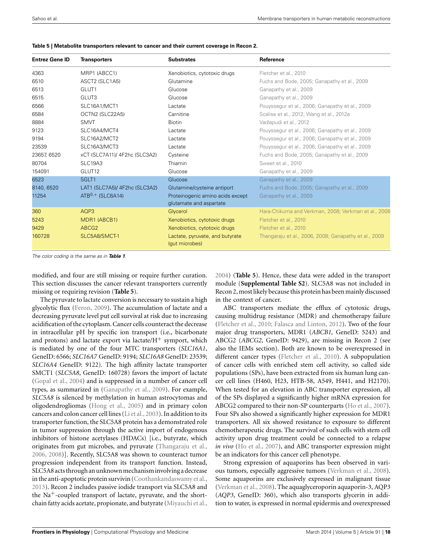|  | Table 5   Metabolite transporters relevant to cancer and their current coverage in Recon 2. |  |  |  |
|--|---------------------------------------------------------------------------------------------|--|--|--|
|--|---------------------------------------------------------------------------------------------|--|--|--|

| <b>Entrez Gene ID</b> | <b>Transporters</b>           | <b>Substrates</b>                                 | Reference                                             |
|-----------------------|-------------------------------|---------------------------------------------------|-------------------------------------------------------|
| 4363                  | MRP1 (ABCC1)                  | Xenobiotics, cytotoxic drugs                      | Fletcher et al., 2010                                 |
| 6510                  | ASCT2 (SLC1A5)                | Glutamine                                         | Fuchs and Bode, 2005; Ganapathy et al., 2009          |
| 6513                  | GLUT1                         | Glucose                                           | Ganapathy et al., 2009                                |
| 6515                  | GLUT3                         | Glucose                                           | Ganapathy et al., 2009                                |
| 6566                  | SLC16A1/MCT1                  | Lactate                                           | Pouyssegur et al., 2006; Ganapathy et al., 2009       |
| 6584                  | OCTN2 (SLC22A5)               | Carnitine                                         | Scalise et al., 2012; Wang et al., 2012a              |
| 8884                  | <b>SMVT</b>                   | <b>Biotin</b>                                     | Vadlapudi et al., 2012                                |
| 9123                  | SLC16A4/MCT4                  | Lactate                                           | Pouyssegur et al., 2006; Ganapathy et al., 2009       |
| 9194                  | SLC16A2/MCT2                  | Lactate                                           | Pouyssegur et al., 2006; Ganapathy et al., 2009       |
| 23539                 | SLC16A3/MCT3                  | Lactate                                           | Pouyssegur et al., 2006; Ganapathy et al., 2009       |
| 23657, 6520           | xCT (SLC7A11)/ 4F2hc (SLC3A2) | Cysteine                                          | Fuchs and Bode, 2005; Ganapathy et al., 2009          |
| 80704                 | SLC19A3                       | Thiamin                                           | Sweet et al., 2010                                    |
| 154091                | GLUT <sub>12</sub>            | Glucose                                           | Ganapathy et al., 2009                                |
| 6523                  | SGLT <sub>1</sub>             | Glucose                                           | Ganapathy et al., 2009                                |
| 8140, 6520            | LAT1 (SLC7A5)/ 4F2hc (SLC3A2) | Glutamine/cysteine antiport                       | Fuchs and Bode, 2005; Ganapathy et al., 2009          |
| 11254                 | $ATB0,+$ (SLC6A14)            | Proteinogenic amino acids except                  | Ganapathy et al., 2009                                |
|                       |                               | glutamate and aspartate                           |                                                       |
| 360                   | AOP3                          | Glycerol                                          | Hara-Chikuma and Verkman, 2008; Verkman et al., 2008  |
| 5243                  | MDR1 (ABCB1)                  | Xenobiotics, cytotoxic drugs                      | Fletcher et al., 2010                                 |
| 9429                  | ABCG <sub>2</sub>             | Xenobiotics, cytotoxic drugs                      | Fletcher et al., 2010                                 |
| 160728                | SLC5A8/SMCT-1                 | Lactate, pyruvate, and butyrate<br>(qut microbes) | Thangaraju et al., 2006, 2008; Ganapathy et al., 2009 |

*The color coding is the same as in Table <sup>1</sup>.*

modified, and four are still missing or require further curation. This section discusses the cancer relevant transporters currently missing or requiring revision (**Table 5**).

The pyruvate to lactate conversion is necessary to sustain a high glycolytic flux (Feron, 2009). The accumulation of lactate and a decreasing pyruvate level put cell survival at risk due to increasing acidification of the cytoplasm. Cancer cells counteract the decrease in intracellular pH by specific ion transport (i.e., bicarbonate and protons) and lactate export via lactate/ $H^+$  symport, which is mediated by one of the four MTC transporters (*SLC16A1*, GeneID: 6566; *SLC16A7* GeneID: 9194; *SLC16A8* GeneID: 23539; *SLC16A4* GeneID: 9122). The high affinity lactate transporter SMCT1 (*SLC5A8*, GeneID: 160728) favors the import of lactate (Gopal et al., 2004) and is suppressed in a number of cancer cell types, as summarized in (Ganapathy et al., 2009). For example, *SLC5A8* is silenced by methylation in human astrocytomas and oligodendrogliomas (Hong et al., 2005) and in primary colon cancers and colon cancer cell lines (Li et al., 2003). In addition to its transporter function, the SLC5A8 protein has a demonstrated role in tumor suppression through the active import of endogenous inhibitors of histone acetylases (HDACs) [i.e., butyrate, which originates from gut microbes, and pyruvate (Thangaraju et al., 2006, 2008)]. Recently, SLC5A8 was shown to counteract tumor progression independent from its transport function. Instead, SLC5A8 acts through an unknown mechanism involving a decrease in the anti-apoptotic protein survivin (Coothankandaswamy et al., 2013). Recon 2 includes passive iodide transport via SLC5A8 and the Na+-coupled transport of lactate, pyruvate, and the shortchain fatty acids acetate, propionate, and butyrate (Miyauchi et al.,

2004) (**Table 5**). Hence, these data were added in the transport module (**Supplemental Table S2**). SLC5A8 was not included in Recon 2, most likely because this protein has been mainly discussed in the context of cancer.

ABC transporters mediate the efflux of cytotoxic drugs, causing multidrug resistance (MDR) and chemotherapy failure (Fletcher et al., 2010; Falasca and Linton, 2012). Two of the four major drug transporters, MDR1 (*ABCB1,* GeneID: 5243) and ABCG2 (*ABCG2*, GeneID: 9429), are missing in Recon 2 (see also the IEMs section). Both are known to be overexpressed in different cancer types (Fletcher et al., 2010). A subpopulation of cancer cells with enriched stem cell activity, so called side populations (SPs), have been extracted from six human lung cancer cell lines (H460, H23, HTB-58, A549, H441, and H2170). When tested for an elevation in ABC transporter expression, all of the SPs displayed a significantly higher mRNA expression for ABCG2 compared to their non-SP counterparts (Ho et al., 2007). Four SPs also showed a significantly higher expression for MDR1 transporters. All six showed resistance to exposure to different chemotherapeutic drugs. The survival of such cells with stem cell activity upon drug treatment could be connected to a relapse *in vivo* (Ho et al., 2007), and ABC transporter expression might be an indicators for this cancer cell phenotype.

Strong expression of aquaporins has been observed in various tumors, especially aggressive tumors (Verkman et al., 2008). Some aquaporins are exclusively expressed in malignant tissue (Verkman et al., 2008). The aquaglyceroporin aquaporin-3, AQP3 (*AQP3*, GeneID: 360), which also transports glycerin in addition to water, is expressed in normal epidermis and overexpressed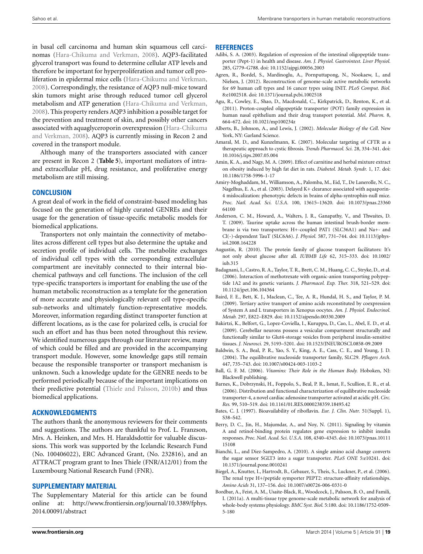in basal cell carcinoma and human skin squamous cell carcinomas (Hara-Chikuma and Verkman, 2008). AQP3-facilitated glycerol transport was found to determine cellular ATP levels and therefore be important for hyperproliferation and tumor cell proliferation in epidermal mice cells (Hara-Chikuma and Verkman, 2008). Correspondingly, the resistance of AQP3 null-mice toward skin tumors might arise through reduced tumor cell glycerol metabolism and ATP generation (Hara-Chikuma and Verkman, 2008). This property renders AQP3 inhibition a possible target for the prevention and treatment of skin, and possibly other cancers associated with aquaglyceroporin overexpression (Hara-Chikuma and Verkman, 2008). AQP3 is currently missing in Recon 2 and covered in the transport module.

Although many of the transporters associated with cancer are present in Recon 2 (**Table 5**), important mediators of intraand extracellular pH, drug resistance, and proliferative energy metabolism are still missing.

## **CONCLUSION**

A great deal of work in the field of constraint-based modeling has focused on the generation of highly curated GENREs and their usage for the generation of tissue-specific metabolic models for biomedical applications.

Transporters not only maintain the connectivity of metabolites across different cell types but also determine the uptake and secretion profile of individual cells. The metabolite exchanges of individual cell types with the corresponding extracellular compartment are inevitably connected to their internal biochemical pathways and cell functions. The inclusion of the cell type-specific transporters is important for enabling the use of the human metabolic reconstruction as a template for the generation of more accurate and physiologically relevant cell type-specific sub-networks and ultimately function-representative models. Moreover, information regarding distinct transporter function at different locations, as is the case for polarized cells, is crucial for such an effort and has thus been noted throughout this review. We identified numerous gaps through our literature review, many of which could be filled and are provided in the accompanying transport module. However, some knowledge gaps still remain because the responsible transporter or transport mechanism is unknown. Such a knowledge update for the GENRE needs to be performed periodically because of the important implications on their predictive potential (Thiele and Palsson, 2010b) and thus biomedical applications.

# **ACKNOWLEDGMENTS**

The authors thank the anonymous reviewers for their comments and suggestions. The authors are thankful to Prof. L. Franzson, Mrs. A. Heinken, and Mrs. H. Haraldsdottir for valuable discussions. This work was supported by the Icelandic Research Fund (No. 100406022), ERC Advanced Grant, (No. 232816), and an ATTRACT program grant to Ines Thiele (FNR/A12/01) from the Luxembourg National Research Fund (FNR).

## **SUPPLEMENTARY MATERIAL**

The Supplementary Material for this article can be found online at: http://www.frontiersin.org/journal/10.3389/fphys. 2014.00091/abstract

#### **REFERENCES**

- Adibi, S. A. (2003). Regulation of expression of the intestinal oligopeptide transporter (Pept-1) in health and disease. *Am. J. Physiol. Gastrointest. Liver Physiol.* 285, G779–G788. doi: 10.1152/ajpgi.00056.2003
- Agren, R., Bordel, S., Mardinoglu, A., Pornputtapong, N., Nookaew, I., and Nielsen, J. (2012). Reconstruction of genome-scale active metabolic networks for 69 human cell types and 16 cancer types using INIT. *PLoS Comput. Biol.* 8:e1002518. doi: 10.1371/journal.pcbi.1002518
- Agu, R., Cowley, E., Shao, D., Macdonald, C., Kirkpatrick, D., Renton, K., et al. (2011). Proton-coupled oligopeptide transporter (POT) family expression in human nasal epithelium and their drug transport potential. *Mol. Pharm.* 8, 664–672. doi: 10.1021/mp100234z
- Alberts, B., Johnson, A., and Lewis, J. (2002). *Molecular Biology of the Cell*. New York, NY: Garland Science.
- Amaral, M. D., and Kunzelmann, K. (2007). Molecular targeting of CFTR as a therapeutic approach to cystic fibrosis. *Trends Pharmacol. Sci.* 28, 334–341. doi: 10.1016/j.tips.2007.05.004
- Amin, K. A., and Nagy, M. A. (2009). Effect of carnitine and herbal mixture extract on obesity induced by high fat diet in rats. *Diabetol. Metab. Syndr.* 1, 17. doi: 10.1186/1758-5996-1-17
- Amiry-Moghaddam, M., Williamson, A., Palomba, M., Eid, T., De Lanerolle, N. C., Nagelhus, E. A., et al. (2003). Delayed K+ clearance associated with aquaporin-4 mislocalization: phenotypic defects in brains of alpha-syntrophin-null mice. *Proc. Natl. Acad. Sci. U.S.A.* 100, 13615–13620. doi: 10.1073/pnas.23360 64100
- Anderson, C. M., Howard, A., Walters, J. R., Ganapathy, V., and Thwaites, D. T. (2009). Taurine uptake across the human intestinal brush-border membrane is via two transporters: H+-coupled PAT1 (SLC36A1) and Na+- and Cl(-)-dependent TauT (SLC6A6). *J. Physiol.* 587, 731–744. doi: 10.1113/jphysiol.2008.164228
- Augustin, R. (2010). The protein family of glucose transport facilitators: It's not only about glucose after all. *IUBMB Life* 62, 315–333. doi: 10.1002/ iub.315
- Badagnani, I., Castro, R. A., Taylor, T. R., Brett, C. M., Huang, C. C., Stryke, D., et al. (2006). Interaction of methotrexate with organic-anion transporting polypeptide 1A2 and its genetic variants. *J. Pharmacol. Exp. Ther.* 318, 521–529. doi: 10.1124/jpet.106.104364
- Baird, F. E., Bett, K. J., Maclean, C., Tee, A. R., Hundal, H. S., and Taylor, P. M. (2009). Tertiary active transport of amino acids reconstituted by coexpression of System A and L transporters in Xenopus oocytes. *Am. J. Physiol. Endocrinol. Metab.* 297, E822–E829. doi: 10.1152/ajpendo.00330.2009
- Bakirtzi, K., Belfort, G., Lopez-Coviella, I., Kuruppu, D., Cao, L., Abel, E. D., et al. (2009). Cerebellar neurons possess a vesicular compartment structurally and functionally similar to Glut4-storage vesicles from peripheral insulin-sensitive tissues. *J. Neurosci.* 29, 5193–5201. doi: 10.1523/JNEUROSCI.0858-09.2009
- Baldwin, S. A., Beal, P. R., Yao, S. Y., King, A. E., Cass, C. E., and Young, J. D. (2004). The equilibrative nucleoside transporter family, SLC29. *Pflugers Arch.* 447, 735–743. doi: 10.1007/s00424-003-1103-2
- Ball, G. F. M. (2006). *Vitamins: Their Role in the Human Body.* Hoboken, NJ: Blackwell publishing.
- Barnes, K., Dobrzynski, H., Foppolo, S., Beal, P. R., Ismat, F., Scullion, E. R., et al. (2006). Distribution and functional characterization of equilibrative nucleoside transporter-4, a novel cardiac adenosine transporter activated at acidic pH. *Circ. Res.* 99, 510–519. doi: 10.1161/01.RES.0000238359.18495.42
- Bates, C. J. (1997). Bioavailability of riboflavin. *Eur. J. Clin. Nutr.* 51(Suppl. 1), S38–S42.
- Berry, D. C., Jin, H., Majumdar, A., and Noy, N. (2011). Signaling by vitamin A and retinol-binding protein regulates gene expression to inhibit insulin responses. *Proc. Natl. Acad. Sci. U.S.A.* 108, 4340–4345. doi: 10.1073/pnas.10111 15108
- Bianchi, L., and Diez-Sampedro, A. (2010). A single amino acid change converts the sugar sensor SGLT3 into a sugar transporter. *PLoS ONE* 5:e10241. doi: 10.1371/journal.pone.0010241
- Biegel, A., Knutter, I., Hartrodt, B., Gebauer, S., Theis, S., Luckner, P., et al. (2006). The renal type H+/peptide symporter PEPT2: structure-affinity relationships. *Amino Acids* 31, 137–156. doi: 10.1007/s00726-006-0331-0
- Bordbar, A., Feist, A. M., Usaite-Black, R., Woodcock, J., Palsson, B. O., and Famili, I. (2011a). A multi-tissue type genome-scale metabolic network for analysis of whole-body systems physiology. *BMC Syst. Biol.* 5:180. doi: 10.1186/1752-0509- 5-180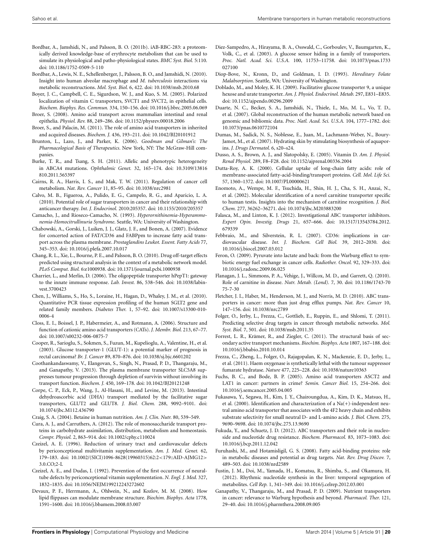- Bordbar, A., Jamshidi, N., and Palsson, B. O. (2011b). iAB-RBC-283: a proteomically derived knowledge-base of erythrocyte metabolism that can be used to simulate its physiological and patho-physiological states. *BMC Syst. Biol.* 5:110. doi: 10.1186/1752-0509-5-110
- Bordbar, A., Lewis, N. E., Schellenberger, J., Palsson, B. O., and Jamshidi, N. (2010). Insight into human alveolar macrophage and *M. tuberculosis* interactions via metabolic reconstructions. *Mol. Syst. Biol.* 6, 422. doi: 10.1038/msb.2010.68
- Boyer, J. C., Campbell, C. E., Sigurdson, W. J., and Kuo, S. M. (2005). Polarized localization of vitamin C transporters, SVCT1 and SVCT2, in epithelial cells. *Biochem. Biophys. Res. Commun.* 334, 150–156. doi: 10.1016/j.bbrc.2005.06.069
- Broer, S. (2008). Amino acid transport across mammalian intestinal and renal epithelia. *Physiol. Rev.* 88, 249–286. doi: 10.1152/physrev.00018.2006
- Broer, S., and Palacin, M. (2011). The role of amino acid transporters in inherited and acquired diseases. *Biochem. J.* 436, 193–211. doi: 10.1042/BJ20101912
- Brunton, L., Lazo, J., and Parker, K. (2006). *Goodman and Gilman's: The Pharmacological Basis of Therapeutics*. New York, NY: The McGraw-Hill companies.
- Burke, T. R., and Tsang, S. H. (2011). Allelic and phenotypic heterogeneity in ABCA4 mutations. *Ophthalmic Genet.* 32, 165–174. doi: 10.3109/13816 810.2011.565397
- Cairns, R. A., Harris, I. S., and Mak, T. W. (2011). Regulation of cancer cell metabolism. *Nat. Rev. Cancer* 11, 85–95. doi: 10.1038/nrc2981
- Calvo, M. B., Figueroa, A., Pulido, E. G., Campelo, R. G., and Aparicio, L. A. (2010). Potential role of sugar transporters in cancer and their relationship with anticancer therapy. *Int. J. Endocrinol.* 2010:205357. doi: 10.1155/2010/205357
- Camacho, J., and Rioseco-Camacho, N. (1993). *Hyperornithinemia-Hyperammonemia-Homocitrullinuria Syndrome*. Seattle, WA: University of Washington.
- Chabowski, A., Gorski, J., Luiken, J. J., Glatz, J. F., and Bonen, A. (2007). Evidence for concerted action of FAT/CD36 and FABPpm to increase fatty acid transport across the plasma membrane. *Prostaglandins Leukot. Essent. Fatty Acids* 77, 345–353. doi: 10.1016/j.plefa.2007.10.017
- Chang, R. L., Xie, L., Bourne, P. E., and Palsson, B. O. (2010). Drug off-target effects predicted using structural analysis in the context of a metabolic network model. *PLoS Comput. Biol.* 6:e1000938. doi: 10.1371/journal.pcbi.1000938
- Charrier, L., and Merlin, D. (2006). The oligopeptide transporter hPepT1: gateway to the innate immune response. *Lab. Invest.* 86, 538–546. doi: 10.1038/labinvest.3700423
- Chen, J., Williams, S., Ho, S., Loraine, H., Hagan, D., Whaley, J. M., et al. (2010). Quantitative PCR tissue expression profiling of the human SGLT2 gene and related family members. *Diabetes Ther.* 1, 57–92. doi: 10.1007/s13300-010- 0006-4
- Closs, E. I., Boissel, J. P., Habermeier, A., and Rotmann, A. (2006). Structure and function of cationic amino acid transporters (CATs). *J. Membr. Biol.* 213, 67–77. doi: 10.1007/s00232-006-0875-7
- Cooper, R., Sarioglu, S., Sokmen, S., Fuzun, M., Kupelioglu, A., Valentine, H., et al. (2003). Glucose transporter-1 (GLUT-1): a potential marker of prognosis in rectal carcinoma? *Br. J. Cancer* 89, 870–876. doi: 10.1038/sj.bjc.6601202
- Coothankandaswamy, V., Elangovan, S., Singh, N., Prasad, P. D., Thangaraju, M., and Ganapathy, V. (2013). The plasma membrane transporter SLC5A8 suppresses tumour progression through depletion of survivin without involving its transport function. *Biochem. J.* 450, 169–178. doi: 10.1042/BJ20121248
- Corpe, C. P., Eck, P., Wang, J., Al-Hasani, H., and Levine, M. (2013). Intestinal dehydroascorbic acid (DHA) transport mediated by the facilitative sugar transporters, GLUT2 and GLUT8. *J. Biol. Chem.* 288, 9092–9101. doi: 10.1074/jbc.M112.436790
- Craig, S. A. (2004). Betaine in human nutrition. *Am. J. Clin. Nutr.* 80, 539–549.
- Cura, A. J., and Carruthers, A. (2012). The role of monosaccharide transport proteins in carbohydrate assimilation, distribution, metabolism and homeostasis. *Compr. Physiol.* 2, 863–914. doi: 10.1002/cphy.c110024
- Czeizel, A. E. (1996). Reduction of urinary tract and cardiovascular defects by periconceptional multivitamin supplementation. *Am. J. Med. Genet.* 62, 179–183. doi: 10.1002/(SICI)1096-8628(19960315)62:2<179::AID-AJMG12> 3.0.CO;2-L
- Czeizel, A. E., and Dudas, I. (1992). Prevention of the first occurrence of neuraltube defects by periconceptional vitamin supplementation. *N. Engl. J. Med.* 327, 1832–1835. doi: 10.1056/NEJM199212243272602
- Devaux, P. F., Herrmann, A., Ohlwein, N., and Kozlov, M. M. (2008). How lipid flippases can modulate membrane structure. *Biochim. Biophys. Acta* 1778, 1591–1600. doi: 10.1016/j.bbamem.2008.03.007
- Diez-Sampedro, A., Hirayama, B. A., Osswald, C., Gorboulev, V., Baumgarten, K., Volk, C., et al. (2003). A glucose sensor hiding in a family of transporters. *Proc. Natl. Acad. Sci. U.S.A.* 100, 11753–11758. doi: 10.1073/pnas.1733 027100
- Diop-Bove, N., Kronn, D., and Goldman, I. D. (1993). *Hereditary Folate Malabsorption*. Seattle, WA: University of Washington.
- Doblado, M., and Moley, K. H. (2009). Facilitative glucose transporter 9, a unique hexose and urate transporter. *Am. J. Physiol. Endocrinol. Metab.* 297, E831–E835. doi: 10.1152/ajpendo.00296.2009
- Duarte, N. C., Becker, S. A., Jamshidi, N., Thiele, I., Mo, M. L., Vo, T. D., et al. (2007). Global reconstruction of the human metabolic network based on genomic and bibliomic data. *Proc. Natl. Acad. Sci. U.S.A.* 104, 1777–1782. doi: 10.1073/pnas.0610772104
- Dumas, M., Sadick, N. S., Noblesse, E., Juan, M., Lachmann-Weber, N., Boury-Jamot, M., et al. (2007). Hydrating skin by stimulating biosynthesis of aquaporins. *J. Drugs Dermatol.* 6, s20–s24.
- Dusso, A. S., Brown, A. J., and Slatopolsky, E. (2005). Vitamin D. *Am. J. Physiol. Renal Physiol.* 289, F8–F28. doi: 10.1152/ajprenal.00336.2004
- Dutta-Roy, A. K. (2000). Cellular uptake of long-chain fatty acids: role of membrane-associated fatty-acid-binding/transport proteins. *Cell. Mol. Life Sci.* 57, 1360–1372. doi: 10.1007/PL00000621
- Enomoto, A., Wempe, M. F., Tsuchida, H., Shin, H. J., Cha, S. H., Anzai, N., et al. (2002). Molecular identification of a novel carnitine transporter specific to human testis. Insights into the mechanism of carnitine recognition*. J. Biol. Chem.* 277, 36262–36271. doi: 10.1074/jbc.M203883200
- Falasca, M., and Linton, K. J. (2012). Investigational ABC transporter inhibitors. *Expert Opin. Investig. Drugs* 21, 657–666. doi: 10.1517/13543784.2012. 679339
- Febbraio, M., and Silverstein, R. L. (2007). CD36: implications in cardiovascular disease. *Int. J. Biochem. Cell Biol.* 39, 2012–2030. doi: 10.1016/j.biocel.2007.03.012
- Feron, O. (2009). Pyruvate into lactate and back: from the Warburg effect to symbiotic energy fuel exchange in cancer cells. *Radiother. Oncol.* 92, 329–333. doi: 10.1016/j.radonc.2009.06.025
- Flanagan, J. L., Simmons, P. A., Vehige, J., Willcox, M. D., and Garrett, Q. (2010). Role of carnitine in disease. *Nutr. Metab. (Lond).* 7, 30. doi: 10.1186/1743-70 75-7-30
- Fletcher, J. I., Haber, M., Henderson, M. J., and Norris, M. D. (2010). ABC transporters in cancer: more than just drug efflux pumps. *Nat. Rev. Cancer* 10, 147–156. doi: 10.1038/nrc2789
- Folger, O., Jerby, L., Frezza, C., Gottlieb, E., Ruppin, E., and Shlomi, T. (2011). Predicting selective drug targets in cancer through metabolic networks. *Mol. Syst. Biol.* 7, 501. doi: 10.1038/msb.2011.35
- Forrest, L. R., Krämer, R., and Ziegler, C. (2011). The structural basis of secondary active transport mechanisms. *Biochim. Biophys. Acta* 1807, 167–188. doi: 10.1016/j.bbabio.2010.10.014
- Frezza, C., Zheng, L., Folger, O., Rajagopalan, K. N., Mackenzie, E. D., Jerby, L., et al. (2011). Haem oxygenase is synthetically lethal with the tumour suppressor fumarate hydratase. *Nature* 477, 225–228. doi: 10.1038/nature10363
- Fuchs, B. C., and Bode, B. P. (2005). Amino acid transporters ASCT2 and LAT1 in cancer: partners in crime? *Semin. Cancer Biol.* 15, 254–266. doi: 10.1016/j.semcancer.2005.04.005
- Fukasawa, Y., Segawa, H., Kim, J. Y., Chairoungdua, A., Kim, D. K., Matsuo, H., et al. (2000). Identification and characterization of a Na(+)-independent neutral amino acid transporter that associates with the 4F2 heavy chain and exhibits substrate selectivity for small neutral D- and L-amino acids. *J. Biol. Chem.* 275, 9690–9698. doi: 10.1074/jbc.275.13.9690
- Fukuda, Y., and Schuetz, J. D. (2012). ABC transporters and their role in nucleoside and nucleotide drug resistance. *Biochem. Pharmacol.* 83, 1073–1083. doi: 10.1016/j.bcp.2011.12.042
- Furuhashi, M., and Hotamisligil, G. S. (2008). Fatty acid-binding proteins: role in metabolic diseases and potential as drug targets. *Nat. Rev. Drug Discov.* 7, 489–503. doi: 10.1038/nrd2589
- Fustin, J. M., Doi, M., Yamada, H., Komatsu, R., Shimba, S., and Okamura, H. (2012). Rhythmic nucleotide synthesis in the liver: temporal segregation of metabolites. *Cell Rep.* 1, 341–349. doi: 10.1016/j.celrep.2012.03.001
- Ganapathy, V., Thangaraju, M., and Prasad, P. D. (2009). Nutrient transporters in cancer: relevance to Warburg hypothesis and beyond. *Pharmacol. Ther.* 121, 29–40. doi: 10.1016/j.pharmthera.2008.09.005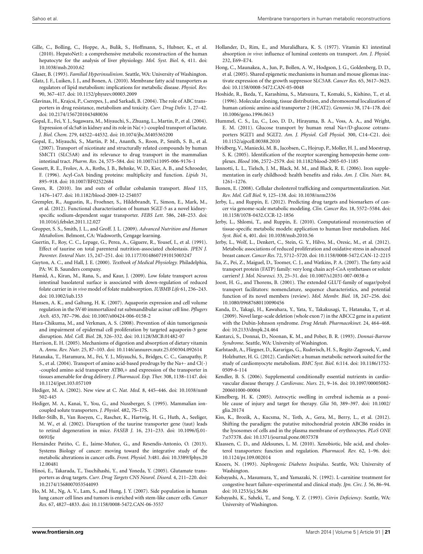- Gille, C., Bolling, C., Hoppe, A., Bulik, S., Hoffmann, S., Hubner, K., et al. (2010). HepatoNet1: a comprehensive metabolic reconstruction of the human hepatocyte for the analysis of liver physiology. *Mol. Syst. Biol.* 6, 411. doi: 10.1038/msb.2010.62
- Glaser, B. (1993). *Familial Hyperinsulinism*. Seattle, WA: University of Washington.
- Glatz, J. F., Luiken, J. J., and Bonen, A. (2010). Membrane fatty acid transporters as regulators of lipid metabolism: implications for metabolic disease. *Physiol. Rev.* 90, 367–417. doi: 10.1152/physrev.00003.2009
- Glavinas, H., Krajcsi, P., Cserepes, J., and Sarkadi, B. (2004). The role of ABC transporters in drug resistance, metabolism and toxicity. *Curr. Drug Deliv.* 1, 27–42. doi: 10.2174/1567201043480036
- Gopal, E., Fei, Y. J., Sugawara, M., Miyauchi, S., Zhuang, L., Martin, P., et al. (2004). Expression of slc5a8 in kidney and its role in Na(+)-coupled transport of lactate. *J. Biol. Chem.* 279, 44522–44532. doi: 10.1074/jbc.M405365200
- Gopal, E., Miyauchi, S., Martin, P. M., Ananth, S., Roon, P., Smith, S. B., et al. (2007). Transport of nicotinate and structurally related compounds by human SMCT1 (SLC5A8) and its relevance to drug transport in the mammalian intestinal tract. *Pharm. Res.* 24, 575–584. doi: 10.1007/s11095-006-9176-1
- Gossett, R. E., Frolov, A. A., Roths, J. B., Behnke, W. D., Kier, A. B., and Schroeder, F. (1996). Acyl-CoA binding proteins: multiplicity and function. *Lipids* 31, 895–918. doi: 10.1007/BF02522684
- Green, R. (2010). Ins and outs of cellular cobalamin transport. *Blood* 115, 1476–1477. doi: 10.1182/blood-2009-12-254037
- Grempler, R., Augustin, R., Froehner, S., Hildebrandt, T., Simon, E., Mark, M., et al. (2012). Functional characterisation of human SGLT-5 as a novel kidneyspecific sodium-dependent sugar transporter. *FEBS Lett.* 586, 248–253. doi: 10.1016/j.febslet.2011.12.027
- Gropper, S. S., Smith, J. L., and Groff. J. L. (2009). *Advanced Nutrition and Human Metabolism.* Belmont, CA: Wadsworth, Cengage learning.
- Guertin, F., Roy, C. C., Lepage, G., Perea, A., Giguere, R., Yousef, I., et al. (1991). Effect of taurine on total parenteral nutrition-associated cholestasis. *JPEN J. Parenter. Enteral Nutr.* 15, 247–251. doi: 10.1177/0148607191015003247
- Guyton, A. C., and Hall, J. E. (2000). *Textbook of Medical Physiology.* Philadelphia, PA: W. B. Saunders company.
- Hamid, A., Kiran, M., Rana, S., and Kaur, J. (2009). Low folate transport across intestinal basolateral surface is associated with down-regulation of reduced folate carrier in *in vivo* model of folate malabsorption. *IUBMB Life* 61, 236–243. doi: 10.1002/iub.153
- Hansen, A. K., and Galtung, H. K. (2007). Aquaporin expression and cell volume regulation in the SV40 immortalized rat submandibular acinar cell line. *Pflugers Arch.* 453, 787–796. doi: 10.1007/s00424-006-0158-2
- Hara-Chikuma, M., and Verkman, A. S. (2008). Prevention of skin tumorigenesis and impairment of epidermal cell proliferation by targeted aquaporin-3 gene disruption. *Mol. Cell. Biol.* 28, 326–332. doi: 10.1128/MCB.01482-07
- Harrison, E. H. (2005). Mechanisms of digestion and absorption of dietary vitamin A. *Annu. Rev. Nutr.* 25, 87–103. doi: 10.1146/annurev.nutr.25.050304.092614
- Hatanaka, T., Haramura, M., Fei, Y. J., Miyauchi, S., Bridges, C. C., Ganapathy, P. S., et al. (2004). Transport of amino acid-based prodrugs by the Na+- and Cl(-) -coupled amino acid transporter ATB0,+ and expression of the transporter in tissues amenable for drug delivery. *J. Pharmacol. Exp. Ther.* 308, 1138–1147. doi: 10.1124/jpet.103.057109
- Hediger, M. A. (2002). New view at C. *Nat. Med.* 8, 445–446. doi: 10.1038/nm0 502-445
- Hediger, M. A., Kanai, Y., You, G., and Nussberger, S. (1995). Mammalian ioncoupled solute transporters. *J. Physiol.* 482, 7S–17S.
- Heller-Stilb, B., Van Roeyen, C., Rascher, K., Hartwig, H. G., Huth, A., Seeliger, M. W., et al. (2002). Disruption of the taurine transporter gene (taut) leads to retinal degeneration in mice. *FASEB J.* 16, 231–233. doi: 10.1096/fj.01- 0691fje
- Hernández Patiño, C. E., Jaime-Muñoz, G., and Resendis-Antonio, O. (2013). Systems Biology of cancer: moving toward the integrative study of the metabolic alterations in cancer cells. *Front. Physiol.* 3:481. doi: 10.3389/fphys.20 12.00481
- Hinoi, E., Takarada, T., Tsuchihashi, Y., and Yoneda, Y. (2005). Glutamate transporters as drug targets. *Curr. Drug Targets CNS Neurol. Disord.* 4, 211–220. doi: 10.2174/1568007053544093
- Ho, M. M., Ng, A. V., Lam, S., and Hung, J. Y. (2007). Side population in human lung cancer cell lines and tumors is enriched with stem-like cancer cells. *Cancer Res.* 67, 4827–4833. doi: 10.1158/0008-5472.CAN-06-3557
- Hollander, D., Rim, E., and Muralidhara, K. S. (1977). Vitamin K1 intestinal absorption *in vivo*: influence of luminal contents on transport. *Am. J. Physiol.* 232, E69–E74.
- Hong, C., Maunakea, A., Jun, P., Bollen, A. W., Hodgson, J. G., Goldenberg, D. D., et al. (2005). Shared epigenetic mechanisms in human and mouse gliomas inactivate expression of the growth suppressor SLC5A8. *Cancer Res.* 65, 3617–3623. doi: 10.1158/0008-5472.CAN-05-0048
- Hoshide, R., Ikeda, Y., Karashima, S., Matsuura, T., Komaki, S., Kishino, T., et al. (1996). Molecular cloning, tissue distribution, and chromosomal localization of human cationic amino acid transporter 2 (HCAT2). *Genomics* 38, 174–178. doi: 10.1006/geno.1996.0613
- Hummel, C. S., Lu, C., Loo, D. D., Hirayama, B. A., Voss, A. A., and Wright, E. M. (2011). Glucose transport by human renal Na+/D-glucose cotransporters SGLT1 and SGLT2. *Am. J. Physiol. Cell Physiol.* 300, C14–C21. doi: 10.1152/ajpcell.00388.2010
- Hvidberg, V., Maniecki, M. B., Jacobsen, C., Hojrup, P., Moller, H. J., and Moestrup, S. K. (2005). Identification of the receptor scavenging hemopexin-heme complexes. *Blood* 106, 2572–2579. doi: 10.1182/blood-2005-03-1185
- Iannotti, L. L., Tielsch, J. M., Black, M. M., and Black, R. E. (2006). Iron supplementation in early childhood: health benefits and risks. *Am. J. Clin. Nutr.* 84, 1261–1276.
- Ikonen, E. (2008). Cellular cholesterol trafficking and compartmentalization. *Nat. Rev. Mol. Cell Biol.* 9, 125–138. doi: 10.1038/nrm2336
- Jerby, L., and Ruppin, E. (2012). Predicting drug targets and biomarkers of cancer via genome-scale metabolic modeling. *Clin. Cancer Res.* 18, 5572–5584. doi: 10.1158/1078-0432.CCR-12-1856
- Jerby, L., Shlomi, T., and Ruppin, E. (2010). Computational reconstruction of tissue-specific metabolic models: application to human liver metabolism. *Mol. Syst. Biol.* 6, 401. doi: 10.1038/msb.2010.56
- Jerby, L., Wolf, L., Denkert, C., Stein, G. Y., Hilvo, M., Oresic, M., et al. (2012). Metabolic associations of reduced proliferation and oxidative stress in advanced breast cancer. *Cancer Res.* 72, 5712–5720. doi: 10.1158/0008-5472.CAN-12-2215
- Jia, Z., Pei, Z., Maiguel, D., Toomer, C. J., and Watkins, P. A. (2007). The fatty acid transport protein (FATP) family: very long chain acyl-CoA synthetases or solute carriers? *J. Mol. Neurosci.* 33, 25–31. doi: 10.1007/s12031-007-0038-z
- Joost, H. G., and Thorens, B. (2001). The extended GLUT-family of sugar/polyol transport facilitators: nomenclature, sequence characteristics, and potential function of its novel members (review). *Mol. Membr. Biol.* 18, 247–256. doi: 10.1080/09687680110090456
- Kanda, D., Takagi, H., Kawahara, Y., Yata, Y., Takakusagi, T., Hatanaka, T., et al. (2009). Novel large-scale deletion (whole exon 7) in the ABCC2 gene in a patient with the Dubin-Johnson syndrome. *Drug Metab. Pharmacokinet.* 24, 464–468. doi: 10.2133/dmpk.24.464
- Kantarci, S., Donnai, D., Noonan, K. M., and Pober, B. R. (1993). *Donnai-Barrow Syndrome*. Seattle, WA: University of Washington.
- Karlstaedt, A., Fliegner, D., Kararigas, G., Ruderisch, H. S., Regitz-Zagrosek, V., and Holzhutter, H. G. (2012). CardioNet: a human metabolic network suited for the study of cardiomyocyte metabolism. *BMC Syst. Biol.* 6:114. doi: 10.1186/1752- 0509-6-114
- Kendler, B. S. (2006). Supplemental conditionally essential nutrients in cardiovascular disease therapy. *J. Cardiovasc. Nurs.* 21, 9–16. doi: 10.1097/00005082- 200601000-00004
- Kimelberg, H. K. (2005). Astrocytic swelling in cerebral ischemia as a possible cause of injury and target for therapy. *Glia* 50, 389–397. doi: 10.1002/ glia.20174
- Kiss, K., Brozik, A., Kucsma, N., Toth, A., Gera, M., Berry, L., et al. (2012). Shifting the paradigm: the putative mitochondrial protein ABCB6 resides in the lysosomes of cells and in the plasma membrane of erythrocytes. *PLoS ONE* 7:e37378. doi: 10.1371/journal.pone.0037378
- Klaassen, C. D., and Aleksunes, L. M. (2010). Xenobiotic, bile acid, and cholesterol transporters: function and regulation. *Pharmacol. Rev.* 62, 1–96. doi: 10.1124/pr.109.002014
- Knoers, N. (1993). *Nephrogenic Diabetes Insipidus.* Seattle, WA: University of Washington.
- Kobayashi, A., Masumura, Y., and Yamazaki, N. (1992). L-carnitine treatment for congestive heart failure–experimental and clinical study. *Jpn. Circ. J.* 56, 86–94. doi: 10.1253/jcj.56.86
- Kobayashi, K., Saheki, T., and Song, Y. Z. (1993). *Citrin Deficiency*. Seattle, WA: University of Washington.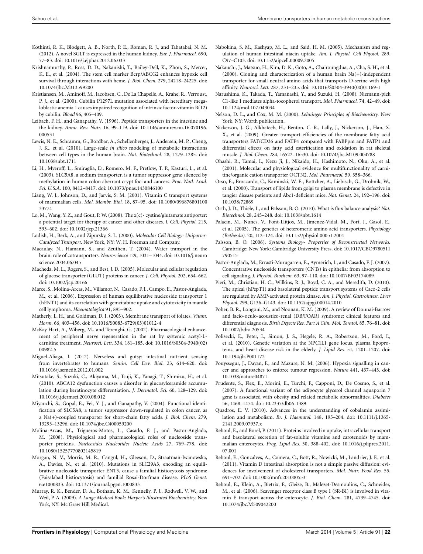- Kothinti, R. K., Blodgett, A. B., North, P. E., Roman, R. J., and Tabatabai, N. M. (2012). A novel SGLT is expressed in the human kidney. *Eur. J. Pharmacol.* 690, 77–83. doi: 10.1016/j.ejphar.2012.06.033
- Krishnamurthy, P., Ross, D. D., Nakanishi, T., Bailey-Dell, K., Zhou, S., Mercer, K. E., et al. (2004). The stem cell marker Bcrp/ABCG2 enhances hypoxic cell survival through interactions with heme. *J. Biol. Chem.* 279, 24218–24225. doi: 10.1074/jbc.M313599200
- Kristiansen, M., Aminoff, M., Jacobsen, C., De La Chapelle, A., Krahe, R., Verroust, P. J., et al. (2000). Cubilin P1297L mutation associated with hereditary megaloblastic anemia 1 causes impaired recognition of intrinsic factor-vitamin B(12) by cubilin. *Blood* 96, 405–409.
- Leibach, F. H., and Ganapathy, V. (1996). Peptide transporters in the intestine and the kidney. *Annu. Rev. Nutr.* 16, 99–119. doi: 10.1146/annurev.nu.16.070196. 000531
- Lewis, N. E., Schramm, G., Bordbar, A., Schellenberger, J., Andersen, M. P., Cheng, J. K., et al. (2010). Large-scale *in silico* modeling of metabolic interactions between cell types in the human brain. *Nat. Biotechnol.* 28, 1279–1285. doi: 10.1038/nbt.1711
- Li, H., Myeroff, L., Smiraglia, D., Romero, M. F., Pretlow, T. P., Kasturi, L., et al. (2003). SLC5A8, a sodium transporter, is a tumor suppressor gene silenced by methylation in human colon aberrant crypt foci and cancers. *Proc. Natl. Acad. Sci. U.S.A.* 100, 8412–8417. doi: 10.1073/pnas.1430846100
- Liang, W. J., Johnson, D., and Jarvis, S. M. (2001). Vitamin C transport systems of mammalian cells. *Mol. Membr. Biol.* 18, 87–95. doi: 10.1080/096876801100 33774
- Lo, M., Wang, Y. Z., and Gout, P. W. (2008). The x(c)- cystine/glutamate antiporter: a potential target for therapy of cancer and other diseases. *J. Cell. Physiol.* 215, 593–602. doi: 10.1002/jcp.21366
- Lodish, H., Berk, A., and Zipursky, S. L. (2000). *Molecular Cell Biology: Uniporter-Catalyzed Transport*. New York, NY: W. H. Freeman and Company.
- Macaulay, N., Hamann, S., and Zeuthen, T. (2004). Water transport in the brain: role of cotransporters. *Neuroscience* 129, 1031–1044. doi: 10.1016/j.neuro science.2004.06.045
- Macheda, M. L., Rogers, S., and Best, J. D. (2005). Molecular and cellular regulation of glucose transporter (GLUT) proteins in cancer. *J. Cell. Physiol.* 202, 654–662. doi: 10.1002/jcp.20166
- Marce, S., Molina-Arcas, M., Villamor, N., Casado, F. J., Campo, E., Pastor-Anglada, M., et al. (2006). Expression of human equilibrative nucleoside transporter 1 (hENT1) and its correlation with gemcitabine uptake and cytotoxicity in mantle cell lymphoma. *Haematologica* 91, 895–902.
- Matherly, L. H., and Goldman, D. I. (2003). Membrane transport of folates. *Vitam. Horm.* 66, 403–456. doi: 10.1016/S0083-6729(03)01012-4
- McKay Hart, A., Wiberg, M., and Terenghi, G. (2002). Pharmacological enhancement of peripheral nerve regeneration in the rat by systemic acetyl-Lcarnitine treatment. *Neurosci. Lett.* 334, 181–185. doi: 10.1016/S0304-3940(02) 00982-5
- Miguel-Aliaga, I. (2012). Nerveless and gutsy: intestinal nutrient sensing from invertebrates to humans. *Semin. Cell Dev. Biol*. 23, 614–620. doi: 10.1016/j.semcdb.2012.01.002
- Mitsutake, S., Suzuki, C., Akiyama, M., Tsuji, K., Yanagi, T., Shimizu, H., et al. (2010). ABCA12 dysfunction causes a disorder in glucosylceramide accumulation during keratinocyte differentiation. *J. Dermatol. Sci.* 60, 128–129. doi: 10.1016/j.jdermsci.2010.08.012
- Miyauchi, S., Gopal, E., Fei, Y. J., and Ganapathy, V. (2004). Functional identification of SLC5A8, a tumor suppressor down-regulated in colon cancer, as a Na(+)-coupled transporter for short-chain fatty acids. *J. Biol. Chem.* 279, 13293–13296. doi: 10.1074/jbc.C400059200
- Molina-Arcas, M., Trigueros-Motos, L., Casado, F. J., and Pastor-Anglada, M. (2008). Physiological and pharmacological roles of nucleoside transporter proteins. *Nucleosides Nucleotides Nucleic Acids* 27, 769–778. doi: 10.1080/15257770802145819
- Morgan, N. V., Morris, M. R., Cangul, H., Gleeson, D., Straatman-Iwanowska, A., Davies, N., et al. (2010). Mutations in SLC29A3, encoding an equilibrative nucleoside transporter ENT3, cause a familial histiocytosis syndrome (Faisalabad histiocytosis) and familial Rosai-Dorfman disease. *PLoS Genet.* 6:e1000833. doi: 10.1371/journal.pgen.1000833
- Murray, R. K., Bender, D. A., Botham, K. M., Kennelly, P. J., Rodwell, V. W., and Weil, P. A. (2009). *A Lange Medical Book: Harper's Illustrated Biochemistry.* New York, NY: Mc Graw Hill Medical.
- Nabokina, S. M., Kashyap, M. L., and Said, H. M. (2005). Mechanism and regulation of human intestinal niacin uptake. *Am. J. Physiol. Cell Physiol.* 289, C97–C103. doi: 10.1152/ajpcell.00009.2005
- Nakauchi, J., Matsuo, H., Kim, D. K., Goto, A., Chairoungdua, A., Cha, S. H., et al. (2000). Cloning and characterization of a human brain  $Na(+)$ -independent transporter for small neutral amino acids that transports D-serine with high affinity. *Neurosci. Lett.* 287, 231–235. doi: 10.1016/S0304-3940(00)01169-1
- Narushima, K., Takada, T., Yamanashi, Y., and Suzuki, H. (2008). Niemann-pick C1-like 1 mediates alpha-tocopherol transport. *Mol. Pharmacol.* 74, 42–49. doi: 10.1124/mol.107.043034
- Nelson, D. L., and Cox, M. M. (2000). *Lehninger Principles of Biochemsitry.* New York, NY: Worth publication.
- Nickerson, J. G., Alkhateeb, H., Benton, C. R., Lally, J., Nickerson, J., Han, X. X., et al. (2009). Greater transport efficiencies of the membrane fatty acid transporters FAT/CD36 and FATP4 compared with FABPpm and FATP1 and differential effects on fatty acid esterification and oxidation in rat skeletal muscle. *J. Biol. Chem.* 284, 16522–16530. doi: 10.1074/jbc.M109.004788
- Ohashi, R., Tamai, I., Nezu Ji, J., Nikaido, H., Hashimoto, N., Oku, A., et al. (2001). Molecular and physiological evidence for multifunctionality of carnitine/organic cation transporter OCTN2. *Mol. Pharmacol.* 59, 358–366.
- Orso, E., Broccardo, C., Kaminski, W. E., Bottcher, A., Liebisch, G., Drobnik, W., et al. (2000). Transport of lipids from golgi to plasma membrane is defective in tangier disease patients and Abc1-deficient mice. *Nat. Genet.* 24, 192–196. doi: 10.1038/72869
- Orth, J. D., Thiele, I., and Palsson, B. O. (2010). What is flux balance analysis? *Nat. Biotechnol.* 28, 245–248. doi: 10.1038/nbt.1614
- Palacin, M., Nunes, V., Font-Llitjos, M., Jimenez-Vidal, M., Fort, J., Gasol, E., et al. (2005). The genetics of heteromeric amino acid transporters. *Physiology (Bethesda).* 20, 112–124. doi: 10.1152/physiol.00051.2004
- Palsson, B. O. (2006). *Systems Biology- Properties of Reconstructed Networks.* Cambridge; New York: Cambridge University Press. doi: 10.1017/CBO9780511 790515
- Pastor-Anglada, M., Errasti-Murugarren, E., Aymerich, I., and Casado, F. J. (2007). Concentrative nucleoside transporters (CNTs) in epithelia: from absorption to cell signaling. *J. Physiol. Biochem.* 63, 97–110. doi: 10.1007/BF03174089
- Pieri, M., Christian, H. C., Wilkins, R. J., Boyd, C. A., and Meredith, D. (2010). The apical (hPepT1) and basolateral peptide transport systems of Caco-2 cells are regulated by AMP-activated protein kinase. *Am. J. Physiol. Gastrointest. Liver Physiol.* 299, G136–G143. doi: 10.1152/ajpgi.00014.2010
- Pober, B. R., Longoni, M., and Noonan, K. M. (2009). A review of Donnai-Barrow and facio-oculo-acoustico-renal (DB/FOAR) syndrome: clinical features and differential diagnosis. *Birth Defects Res. Part A Clin. Mol. Teratol.* 85, 76–81. doi: 10.1002/bdra.20534
- Polisecki, E., Peter, I., Simon, J. S., Hegele, R. A., Robertson, M., Ford, I., et al. (2010). Genetic variation at the NPC1L1 gene locus, plasma lipoproteins, and heart disease risk in the elderly. *J. Lipid Res.* 51, 1201–1207. doi: 10.1194/jlr.P001172
- Pouyssegur, J., Dayan, F., and Mazure, N. M. (2006). Hypoxia signalling in cancer and approaches to enforce tumour regression. *Nature* 441, 437–443. doi: 10.1038/nature04871
- Prudente, S., Flex, E., Morini, E., Turchi, F., Capponi, D., De Cosmo, S., et al. (2007). A functional variant of the adipocyte glycerol channel aquaporin 7 gene is associated with obesity and related metabolic abnormalities. *Diabetes* 56, 1468–1474. doi: 10.2337/db06-1389
- Quadros, E. V. (2010). Advances in the understanding of cobalamin assimilation and metabolism. *Br. J. Haematol.* 148, 195–204. doi: 10.1111/j.1365- 2141.2009.07937.x
- Reboul, E., and Borel, P. (2011). Proteins involved in uptake, intracellular transport and basolateral secretion of fat-soluble vitamins and carotenoids by mammalian enterocytes. *Prog. Lipid Res.* 50, 388–402. doi: 10.1016/j.plipres.2011. 07.001
- Reboul, E., Goncalves, A., Comera, C., Bott, R., Nowicki, M., Landrier, J. F., et al. (2011). Vitamin D intestinal absorption is not a simple passive diffusion: evidences for involvement of cholesterol transporters. *Mol. Nutr. Food Res.* 55, 691–702. doi: 10.1002/mnfr.201000553
- Reboul, E., Klein, A., Bietrix, F., Gleize, B., Malezet-Desmoulins, C., Schneider, M., et al. (2006). Scavenger receptor class B type I (SR-BI) is involved in vitamin E transport across the enterocyte. *J. Biol. Chem.* 281, 4739–4745. doi: 10.1074/jbc.M509042200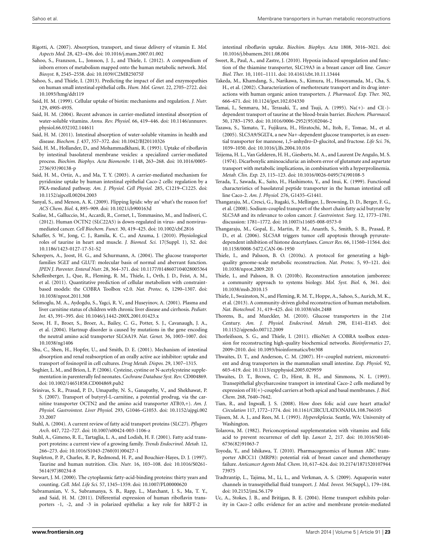- Rigotti, A. (2007). Absorption, transport, and tissue delivery of vitamin E. *Mol. Aspects Med.* 28, 423–436. doi: 10.1016/j.mam.2007.01.002
- Sahoo, S., Franzson, L., Jonsson, J. J., and Thiele, I. (2012). A compendium of inborn errors of metabolism mapped onto the human metabolic network. *Mol. Biosyst.* 8, 2545–2558. doi: 10.1039/C2MB25075F
- Sahoo, S., and Thiele, I. (2013). Predicting the impact of diet and enzymopathies on human small intestinal epithelial cells. *Hum. Mol. Genet.* 22, 2705–2722. doi: 10.1093/hmg/ddt119
- Said, H. M. (1999). Cellular uptake of biotin: mechanisms and regulation. *J. Nutr.* 129, 490S-493S.
- Said, H. M. (2004). Recent advances in carrier-mediated intestinal absorption of water-soluble vitamins. *Annu. Rev. Physiol.* 66, 419–446. doi: 10.1146/annurev. physiol.66.032102.144611
- Said, H. M. (2011). Intestinal absorption of water-soluble vitamins in health and disease. *Biochem. J.* 437, 357–372. doi: 10.1042/BJ20110326
- Said, H. M., Hollander, D., and Mohammadkhani, R. (1993). Uptake of riboflavin by intestinal basolateral membrane vesicles: a specialized carrier-mediated process. *Biochim. Biophys. Acta Biomembr.* 1148, 263–268. doi: 10.1016/0005- 2736(93)90138-p
- Said, H. M., Ortiz, A., and Ma, T. Y. (2003). A carrier-mediated mechanism for pyridoxine uptake by human intestinal epithelial Caco-2 cells: regulation by a PKA-mediated pathway. *Am. J. Physiol. Cell Physiol.* 285, C1219–C1225. doi: 10.1152/ajpcell.00204.2003
- Sanyal, S., and Menon, A. K. (2009). Flipping lipids: why an' what's the reason for? *ACS Chem. Biol.* 4, 895–909. doi: 10.1021/cb900163d
- Scalise, M., Galluccio, M., Accardi, R., Cornet, I., Tommasino, M., and Indiveri, C. (2012). Human OCTN2 (SLC22A5) is down-regulated in virus- and nonvirusmediated cancer. *Cell Biochem. Funct.* 30, 419–425. doi: 10.1002/cbf.2816
- Schaffer, S. W., Jong, C. J., Ramila, K. C., and Azuma, J. (2010). Physiological roles of taurine in heart and muscle. *J. Biomed. Sci.* 17(Suppl. 1), S2. doi: 10.1186/1423-0127-17-S1-S2
- Scheepers, A., Joost, H. G., and Schurmann, A. (2004). The glucose transporter families SGLT and GLUT: molecular basis of normal and aberrant function. *JPEN J. Parenter. Enteral Nutr.* 28, 364–371. doi: 10.1177/0148607104028005364
- Schellenberger, J., Que, R., Fleming, R. M., Thiele, I., Orth, J. D., Feist, A. M., et al. (2011). Quantitative prediction of cellular metabolism with constraintbased models: the COBRA Toolbox v2.0. *Nat. Protoc.* 6, 1290–1307. doi: 10.1038/nprot.2011.308
- Selimoglu, M. A., Aydogdu, S., Yagci, R. V., and Huseyinov, A. (2001). Plasma and liver carnitine status of children with chronic liver disease and cirrhosis. *Pediatr. Int.* 43, 391–395. doi: 10.1046/j.1442-200X.2001.01423.x
- Seow, H. F., Broer, S., Broer, A., Bailey, C. G., Potter, S. J., Cavanaugh, J. A., et al. (2004). Hartnup disorder is caused by mutations in the gene encoding the neutral amino acid transporter SLC6A19. *Nat. Genet.* 36, 1003–1007. doi: 10.1038/ng1406
- Shu, C., Shen, H., Hopfer, U., and Smith, D. E. (2001). Mechanism of intestinal absorption and renal reabsorption of an orally active ace inhibitor: uptake and transport of fosinopril in cell cultures. *Drug Metab. Dispos.* 29, 1307–1315.
- Soghier, L. M., and Brion, L. P. (2006). Cysteine, cystine or N-acetylcysteine supplementation in parenterally fed neonates. *Cochrane Database Syst. Rev.* CD004869. doi: 10.1002/14651858.CD004869.pub2
- Srinivas, S. R., Prasad, P. D., Umapathy, N. S., Ganapathy, V., and Shekhawat, P. S. (2007). Transport of butyryl-L-carnitine, a potential prodrug, via the carnitine transporter OCTN2 and the amino acid transporter ATB(0,+). *Am. J. Physiol. Gastrointest. Liver Physiol.* 293, G1046–G1053. doi: 10.1152/ajpgi.002 33.2007
- Stahl, A. (2004). A current review of fatty acid transport proteins (SLC27). *Pflugers Arch.* 447, 722–727. doi: 10.1007/s00424-003-1106-z
- Stahl, A., Gimeno, R. E., Tartaglia, L. A., and Lodish, H. F. (2001). Fatty acid transport proteins: a current view of a growing family. *Trends Endocrinol. Metab.* 12, 266–273. doi: 10.1016/S1043-2760(01)00427-1
- Stapleton, P. P., Charles, R. P., Redmond, H. P., and Bouchier-Hayes, D. J. (1997). Taurine and human nutrition. *Clin. Nutr.* 16, 103–108. doi: 10.1016/S0261- 5614(97)80234-8
- Stewart, J. M. (2000). The cytoplasmic fatty-acid-binding proteins: thirty years and counting. *Cell. Mol. Life Sci.* 57, 1345–1359. doi: 10.1007/PL00000620
- Subramanian, V. S., Subramanya, S. B., Rapp, L., Marchant, J. S., Ma, T. Y., and Said, H. M. (2011). Differential expression of human riboflavin transporters -1, -2, and -3 in polarized epithelia: a key role for hRFT-2 in

intestinal riboflavin uptake. *Biochim. Biophys. Acta* 1808, 3016–3021. doi: 10.1016/j.bbamem.2011.08.004

- Sweet, R., Paul, A., and Zastre, J. (2010). Hypoxia induced upregulation and function of the thiamine transporter, SLC19A3 in a breast cancer cell line. *Cancer Biol. Ther.* 10, 1101–1111. doi: 10.4161/cbt.10.11.13444
- Takeda, M., Khamdang, S., Narikawa, S., Kimura, H., Hosoyamada, M., Cha, S. H., et al. (2002). Characterization of methotrexate transport and its drug interactions with human organic anion transporters. *J. Pharmacol. Exp. Ther.* 302, 666–671. doi: 10.1124/jpet.102.034330
- Tamai, I., Senmaru, M., Terasaki, T., and Tsuji, A. (1995). Na(+)- and Cl(-) dependent transport of taurine at the blood-brain barrier. *Biochem. Pharmacol.* 50, 1783–1793. doi: 10.1016/0006-2952(95)02046-2
- Tazawa, S., Yamato, T., Fujikura, H., Hiratochi, M., Itoh, F., Tomae, M., et al. (2005). SLC5A9/SGLT4, a new Na+-dependent glucose transporter, is an essential transporter for mannose, 1,5-anhydro-D-glucitol, and fructose. *Life Sci.* 76, 1039–1050. doi: 10.1016/j.lfs.2004.10.016
- Teijema, H. L., Van Gelderen, H. H., Giesberts, M. A., and Laurent De Angulo, M. S. (1974). Dicarboxylic aminoaciduria: an inborn error of glutamate and aspartate transport with metabolic implications, in combination with a hyperprolinemia. *Metab. Clin. Exp.* 23, 115–123. doi: 10.1016/0026-0495(74)90108-5
- Terada, T., Sawada, K., Saito, H., Hashimoto, Y., and Inui, K. (1999). Functional characteristics of basolateral peptide transporter in the human intestinal cell line Caco-2. *Am. J. Physiol.* 276, G1435–G1441.
- Thangaraju, M., Cresci, G., Itagaki, S., Mellinger, J., Browning, D. D., Berger, F. G., et al. (2008). Sodium-coupled transport of the short chain fatty acid butyrate by SLC5A8 and its relevance to colon cancer. *J. Gastrointest. Surg.* 12, 1773–1781. discussion: 1781–1772. doi: 10.1007/s11605-008-0573-0
- Thangaraju, M., Gopal, E., Martin, P. M., Ananth, S., Smith, S. B., Prasad, P. D., et al. (2006). SLC5A8 triggers tumor cell apoptosis through pyruvatedependent inhibition of histone deacetylases. *Cancer Res.* 66, 11560–11564. doi: 10.1158/0008-5472.CAN-06-1950
- Thiele, I., and Palsson, B. O. (2010a). A protocol for generating a highquality genome-scale metabolic reconstruction. *Nat. Protoc.* 5, 93–121. doi: 10.1038/nprot.2009.203
- Thiele, I., and Palsson, B. O. (2010b). Reconstruction annotation jamborees: a community approach to systems biology. *Mol. Syst. Biol.* 6, 361. doi: 10.1038/msb.2010.15
- Thiele, I., Swainston, N., and Fleming, R. M. T., Hoppe, A., Sahoo, S., Aurich, M. K., et al. (2013). A community-driven global reconstruction of human metabolism. *Nat. Biotechnol.* 31, 419–425. doi: 10.1038/nbt.2488
- Thorens, B., and Mueckler, M. (2010). Glucose transporters in the 21st Century. *Am. J. Physiol. Endocrinol. Metab.* 298, E141–E145. doi: 10.1152/ajpendo.00712.2009
- Thorleifsson, S. G., and Thiele, I. (2011). rBioNet: A COBRA toolbox extension for reconstructing high-quality biochemical networks. *Bioinformatics* 27, 2009–2010. doi: 10.1093/bioinformatics/btr308
- Thwaites, D. T., and Anderson, C. M. (2007). H+-coupled nutrient, micronutrient and drug transporters in the mammalian small intestine. *Exp. Physiol.* 92, 603–619. doi: 10.1113/expphysiol.2005.029959
- Thwaites, D. T., Brown, C. D., Hirst, B. H., and Simmons, N. L. (1993). Transepithelial glycylsarcosine transport in intestinal Caco-2 cells mediated by expression of H(+)-coupled carriers at both apical and basal membranes. *J. Biol. Chem.* 268, 7640–7642.
- Tian, R., and Ingwall, J. S. (2008). How does folic acid cure heart attacks? *Circulation* 117, 1772–1774. doi: 10.1161/CIRCULATIONAHA.108.766105
- Tijssen, M. A. J., and Rees, M. I. (1993). *Hyperekplexia*. Seattle, WA: University of Washington.
- Tolarova, M. (1982). Periconceptional supplementation with vitamins and folic acid to prevent recurrence of cleft lip. *Lancet* 2, 217. doi: 10.1016/S0140- 6736(82)91063-7
- Toyoda, Y., and Ishikawa, T. (2010). Pharmacogenomics of human ABC transporter ABCC11 (MRP8): potential risk of breast cancer and chemotherapy failure. *Anticancer Agents Med. Chem.* 10, 617–624. doi: 10.2174/1871520107944 73975
- Tradtrantip, L., Tajima, M., Li, L., and Verkman, A. S. (2009). Aquaporin water channels in transepithelial fluid transport. *J. Med. Invest.* 56(Suppl.), 179–184. doi: 10.2152/jmi.56.179
- Uc, A., Stokes, J. B., and Britigan, B. E. (2004). Heme transport exhibits polarity in Caco-2 cells: evidence for an active and membrane protein-mediated